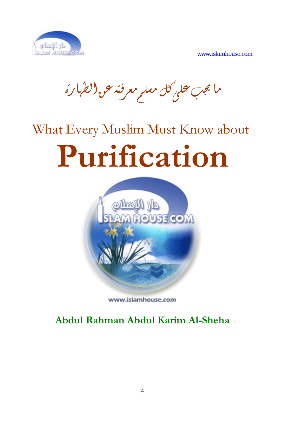

ما يجب محلي كل مسلم معرفته حق الطهارة

# What Every Muslim Must Know about **Purification**



www.islamhouse.com

**Abdul Rahman Abdul Karim Al-Sheha**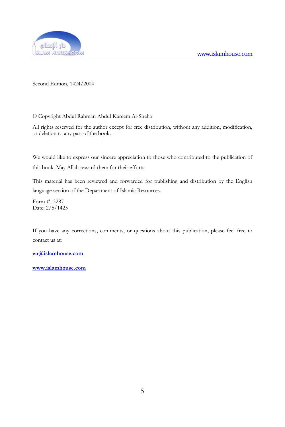

Second Edition, 1424/2004

© Copyright Abdul Rahman Abdul Kareem Al-Sheha

All rights reserved for the author except for free distribution, without any addition, modification, or deletion to any part of the book.

We would like to express our sincere appreciation to those who contributed to the publication of this book. May Allah reward them for their efforts.

This material has been reviewed and forwarded for publishing and distribution by the English language section of the Department of Islamic Resources.

Form #: 3287 Date: 2/5/1425

If you have any corrections, comments, or questions about this publication, please feel free to contact us at:

**[en@islamhouse.com](mailto:en@islamhouse.com)**

**<www.islamhouse.com>**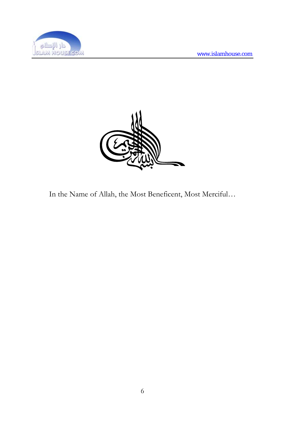



In the Name of Allah, the Most Beneficent, Most Merciful…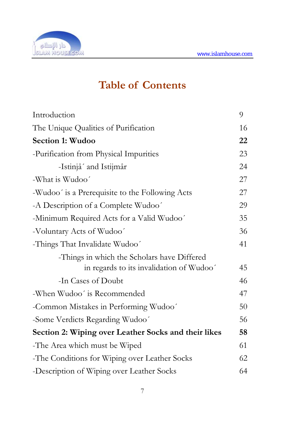

# **Table of Contents**

| Introduction                                         | 9  |
|------------------------------------------------------|----|
| The Unique Qualities of Purification                 | 16 |
| Section 1: Wudoo                                     | 22 |
| -Purification from Physical Impurities               | 23 |
| -Istinjâ' and Istijmâr                               | 24 |
| -What is Wudoo'                                      | 27 |
| -Wudoo' is a Prerequisite to the Following Acts      | 27 |
| -A Description of a Complete Wudoo'                  | 29 |
| -Minimum Required Acts for a Valid Wudoo'            | 35 |
| -Voluntary Acts of Wudoo'                            | 36 |
| -Things That Invalidate Wudoo'                       | 41 |
| -Things in which the Scholars have Differed          |    |
| in regards to its invalidation of Wudoo'             | 45 |
| -In Cases of Doubt                                   | 46 |
| -When Wudoo' is Recommended                          | 47 |
| -Common Mistakes in Performing Wudoo'                | 50 |
| -Some Verdicts Regarding Wudoo'                      | 56 |
| Section 2: Wiping over Leather Socks and their likes | 58 |
| -The Area which must be Wiped                        | 61 |
| -The Conditions for Wiping over Leather Socks        | 62 |
| -Description of Wiping over Leather Socks            | 64 |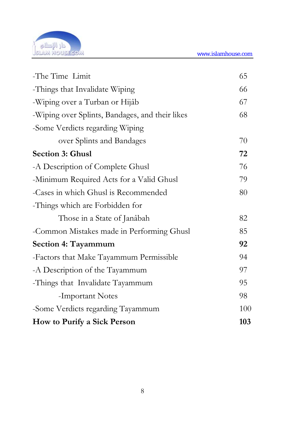

| -The Time Limit                                 | 65  |
|-------------------------------------------------|-----|
| -Things that Invalidate Wiping                  | 66  |
| -Wiping over a Turban or Hijâb                  | 67  |
| -Wiping over Splints, Bandages, and their likes | 68  |
| -Some Verdicts regarding Wiping                 |     |
| over Splints and Bandages                       | 70  |
| <b>Section 3: Ghusl</b>                         | 72  |
| -A Description of Complete Ghusl                | 76  |
| -Minimum Required Acts for a Valid Ghusl        | 79  |
| -Cases in which Ghusl is Recommended            | 80  |
| -Things which are Forbidden for                 |     |
| Those in a State of Janâbah                     | 82  |
| -Common Mistakes made in Performing Ghusl       | 85  |
| Section 4: Tayammum                             | 92  |
| -Factors that Make Tayammum Permissible         | 94  |
| -A Description of the Tayammum                  | 97  |
| -Things that Invalidate Tayammum                | 95  |
| -Important Notes                                | 98  |
| -Some Verdicts regarding Tayammum               | 100 |
| How to Purify a Sick Person                     | 103 |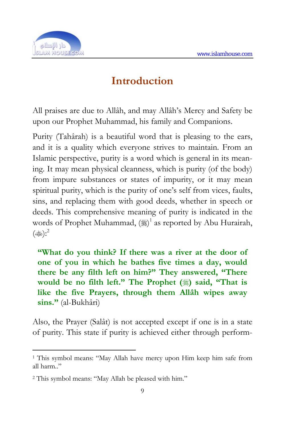

## **In[tr](#page-5-0)oduction**

All praises are due to Allâh, and may Allâh's Mercy and Safety be upon our Prophet Muhammad, his family and Companions.

Purity (Tahârah) is a beautiful word that is pleasing to the ears, and it is a quality which everyone strives to maintain. From an Islamic perspective, purity is a word which is general in its meaning. It may mean physical cleanness, which is purity (of the body) from impure substances or states of impurity, or it may mean spiritual purity, which is the purity of one's self from vices, faults, sins, and replacing them with good deeds, whether in speech or deeds. This comprehensive meaning of purity is indicated in the words of Prophet Muhammad,  $\left(\frac{165}{25}\right)^1$  as reported by Abu Hurairah,  $(\omega \geq)$ :<sup>2</sup>

**"What do you think? If there was a river at the door of one of you in which he bathes five times a day, would there be any filth left on him?" They answered, "There would be no filth left."** The Prophet (.) said, "That is **like the five Prayers, through them Allâh wipes away sins."** (al-Bukhâri)

Also, the Prayer (Salât) is not accepted except if one is in a state of purity. This state if purity is achieved either through perform-

<sup>1</sup> This symbol means: "May Allah have mercy upon Him keep him safe from all harm.."

<span id="page-5-0"></span><sup>2</sup> This symbol means: "May Allah be pleased with him."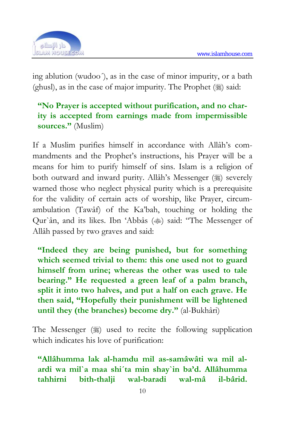

ing ablution (wudoo´), as in the case of minor impurity, or a bath (ghusl), as in the case of major impurity. The Prophet  $(\frac{1}{2})$  said:

#### **"No Prayer is accepted without purification, and no charity is accepted from earnings made from impermissible sources."** (Muslim)

If a Muslim purifies himself in accordance with Allâh's commandments and the Prophet's instructions, his Prayer will be a means for him to purify himself of sins. Islam is a religion of both outward and inward purity. Allâh's Messenger (1) severely warned those who neglect physical purity which is a prerequisite for the validity of certain acts of worship, like Prayer, circumambulation (Tawâf) of the Ka'bah, touching or holding the Qur`ân, and its likes. Ibn 'Abbâs () said: "The Messenger of Allâh passed by two graves and said:

**"Indeed they are being punished, but for something which seemed trivial to them: this one used not to guard himself from urine; whereas the other was used to tale bearing." He requested a green leaf of a palm branch, split it into two halves, and put a half on each grave. He then said, "Hopefully their punishment will be lightened until they (the branches) become dry."** (al-Bukhâri)

The Messenger (1) used to recite the following supplication which indicates his love of purification:

**"Allâhumma lak al-hamdu mil as-samâwâti wa mil alardi wa mil`a maa shi´ta min shay`in ba'd. Allâhumma tahhirni bith-thalji wal-baradi wal-mâ il-bârid.**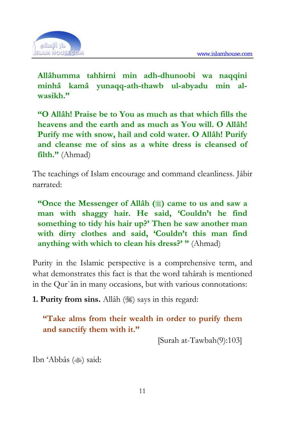

**Allâhumma tahhirni min adh-dhunoobi wa naqqini minhâ kamâ yunaqq-ath-thawb ul-abyadu min alwasikh."** 

**"O Allâh! Praise be to You as much as that which fills the heavens and the earth and as much as You will. O Allâh! Purify me with snow, hail and cold water. O Allâh! Purify and cleanse me of sins as a white dress is cleansed of filth."** (Ahmad)

The teachings of Islam encourage and command cleanliness. Jâbir narrated:

**"Once the Messenger of Allâh (**) came to us and saw a **man with shaggy hair. He said, 'Couldn't he find something to tidy his hair up?' Then he saw another man with dirty clothes and said, 'Couldn't this man find anything with which to clean his dress?' "** (Ahmad)

Purity in the Islamic perspective is a comprehensive term, and what demonstrates this fact is that the word tahârah is mentioned in the Qur`ân in many occasions, but with various connotations:

**1. Purity from sins.** Allâh ( $\gg$ ) says in this regard:

**"Take alms from their wealth in order to purify them and sanctify them with it."** 

[Surah at-Tawbah(9):103]

Ibn 'Abbâs () said: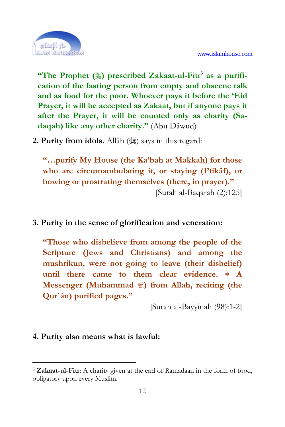

**"The Prophet (**1) prescribed Zakaat-ul-Fitr<sup>3</sup> as a purifi**cation of the fasting person from empty and obscene talk and as food for the poor. Whoever pays it before the 'Eid Prayer, it will be accepted as Zakaat, but if anyone pays it after the Prayer, it will be counted only as charity (Sadaqah) like any other charity."** (Abu Dâwud)

2. Purity from idols. Allâh (3) says in this regard:

**"…purify My House (the Ka'bah at Makkah) for those who are circumambulating it, or staying (I'tikâf), or bowing or prostrating themselves (there, in prayer)."**  [Surah al-Baqarah (2):125]

**3. Purity in the sense of glorification and veneration:** 

**"Those who disbelieve from among the people of the Scripture (Jews and Christians) and among the mushrikun, were not going to leave (their disbelief) until there came to them clear evidence. \* A Messenger (Muhammad**  $\frac{1}{2}$ **) from Allah, reciting (the Qur`ân) purified pages."** 

[Surah al-Bayyinah (98):1-2]

#### **4. Purity also means what is lawful:**

<sup>3</sup> **Zakaat-ul-Fitr**: A charity given at the end of Ramadaan in the form of food, obligatory upon every Muslim.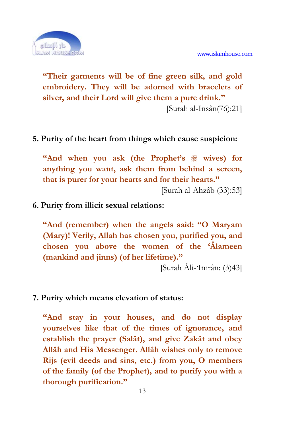

**"Their garments will be of fine green silk, and gold embroidery. They will be adorned with bracelets of silver, and their Lord will give them a pure drink."** 

[Surah al-Insân(76):21]

#### **5. Purity of the heart from things which cause suspicion:**

**"And when you ask (the Prophet's wives) for anything you want, ask them from behind a screen, that is purer for your hearts and for their hearts."** 

[Surah al-Ahzâb (33):53]

#### **6. Purity from illicit sexual relations:**

**"And (remember) when the angels said: "O Maryam (Mary)! Verily, Allah has chosen you, purified you, and chosen you above the women of the 'Âlameen (mankind and jinns) (of her lifetime)."** 

[Surah Âli-'Imrân: (3)43]

#### **7. Purity which means elevation of status:**

**"And stay in your houses, and do not display yourselves like that of the times of ignorance, and establish the prayer (Salât), and give Zakât and obey Allâh and His Messenger. Allâh wishes only to remove Rijs (evil deeds and sins, etc.) from you, O members of the family (of the Prophet), and to purify you with a thorough purification."**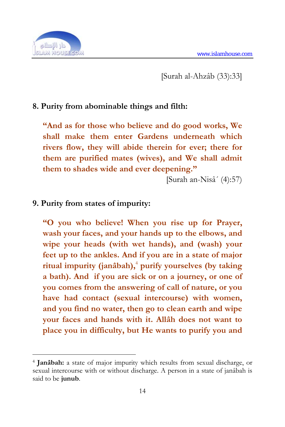

1

[Surah al-Ahzâb (33):33]

#### **8. Purity from abominable things and filth:**

**"And as for those who believe and do good w[or](#page-10-0)ks, We shall make them enter Gardens underneath which rivers flow, they will abide therein for ever; there for them are purified mates (wives), and We shall admit them to shades wide and ever deepening."** 

[Surah an-Nisâ´ (4):57)

#### **9. Purity from states of impurity:**

**"O you who believe! When you rise up for Prayer, wash your faces, and your hands up to the elbows, and wipe your heads (with wet hands), and (wash) your feet up to the ankles. And if you are in a state of major ritual impurity (janâbah),**<sup>4</sup>  **purify yourselves (by taking a bath). And if you are sick or on a journey, or one of you comes from the answering of call of nature, or you have had contact (sexual intercourse) with women, and you find no water, then go to clean earth and wipe your faces and hands with it. Allâh does not want to place you in difficulty, but He wants to purify you and** 

<span id="page-10-0"></span><sup>4</sup> **Janâbah:** a state of major impurity which results from sexual discharge, or sexual intercourse with or without discharge. A person in a state of janâbah is said to be **junub**.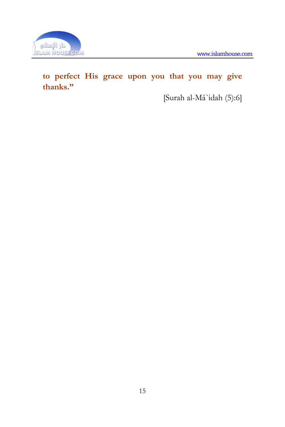

## **to perfect His grace upon you that you may give thanks."**

[Surah al-Mâ`idah (5):6]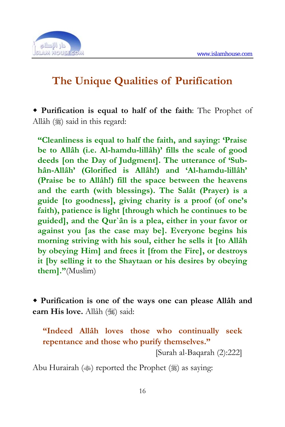

# **The Unique Qualities of Purification**

 **Purification is equal to half of the faith**: The Prophet of Allâh (1) said in this regard:

**"Cleanliness is equal to half the faith, and saying: 'Praise be to Allâh (i.e. Al-hamdu-lillâh)' fills the scale of good deeds [on the Day of Judgment]. The utterance of 'Subhân-Allâh' (Glorified is Allâh!) and 'Al-hamdu-lillâh' (Praise be to Allâh!) fill the space between the heavens and the earth (with blessings). The Salât (Prayer) is a guide [to goodness], giving charity is a proof (of one's faith), patience is light [through which he continues to be guided], and the Qur`ân is a plea, either in your favor or against you [as the case may be]. Everyone begins his morning striving with his soul, either he sells it [to Allâh by obeying Him] and frees it [from the Fire], or destroys it [by selling it to the Shaytaan or his desires by obeying them]."**(Muslim)

 **Purification is one of the ways one can please Allâh and earn His love.** Allâh (,) said:

**"Indeed Allâh loves those who continually seek repentance and those who purify themselves."** 

[Surah al-Baqarah (2):222]

Abu Hurairah ( $\gg$ ) reported the Prophet ( $\gg$ ) as saying: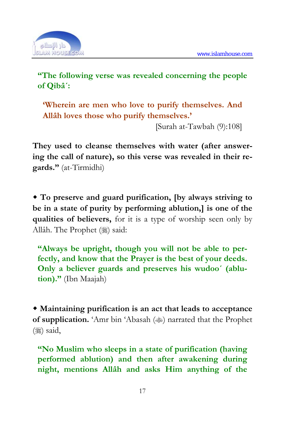

**"The following verse was revealed concerning the people of Qibâ´:** 

**'Wherein are men who love to purify themselves. And Allâh loves those who purify themselves.'** 

[Surah at-Tawbah (9):108]

**They used to cleanse themselves with water (after answering the call of nature), so this verse was revealed in their regards."** (at-Tirmidhi)

 **To preserve and guard purification, [by always striving to be in a state of purity by performing ablution,] is one of the qualities of believers,** for it is a type of worship seen only by Allâh. The Prophet (3) said:

**"Always be upright, though you will not be able to perfectly, and know that the Prayer is the best of your deeds. Only a believer guards and preserves his wudoo´ (ablution)."** (Ibn Maajah)

 **Maintaining purification is an act that leads to acceptance of supplication.** 'Amr bin 'Abasah ( $\gg$ ) narrated that the Prophet  $(% )$  said,

**"No Muslim who sleeps in a state of purification (having performed ablution) and then after awakening during night, mentions Allâh and asks Him anything of the**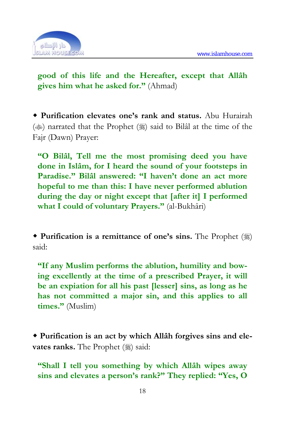

**good of this life and the Hereafter, except that Allâh gives him what he asked for."** (Ahmad)

 **Purification elevates one's rank and status.** Abu Hurairah ( $\gg$ ) narrated that the Prophet ( $\gg$ ) said to Bilâl at the time of the Fajr (Dawn) Prayer:

**"O Bilâl, Tell me the most promising deed you have done in Islâm, for I heard the sound of your footsteps in Paradise." Bilâl answered: "I haven't done an act more hopeful to me than this: I have never performed ablution during the day or night except that [after it] I performed what I could of voluntary Prayers."** (al-Bukhâri)

◆ **Purification is a remittance of one's sins.** The Prophet (ﷺ) said:

**"If any Muslim performs the ablution, humility and bowing excellently at the time of a prescribed Prayer, it will be an expiation for all his past [lesser] sins, as long as he has not committed a major sin, and this applies to all times."** (Muslim)

 **Purification is an act by which Allâh forgives sins and elevates ranks.** The Prophet (1) said:

**"Shall I tell you something by which Allâh wipes away sins and elevates a person's rank?" They replied: "Yes, O**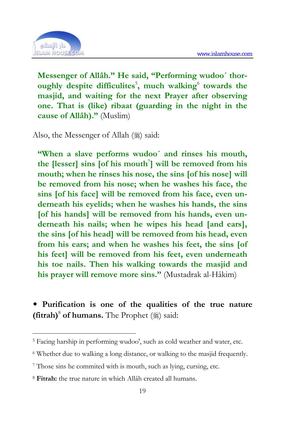

<u>.</u>

**Messenger of Allâh." He said, "Performing wudoo´ thor**oughly despite difficulites<sup>5</sup>, much walking<sup>6</sup> towards the **masjid, and waiting for the next Prayer after observing one. That is (like) ribaat (guarding in the night in the cause of Allâh)."** (Muslim)

Also, the Messenger of Allah  $(\frac{1}{2})$  said:

**"When a slave performs wudoo´ and rinses his mouth,**  the [lesser] sins [of his mouth<sup>7</sup>] will be removed from his mouth; when he rinses his [n](#page-15-0)ose, the sins [of his nose] will **be removed from his nose; when he washes his face, the sins [of his face] will be removed from his face, even underneath his eyelids; when he washes his hands, the sins [of his hands] will be removed from his hands, even underneath his nails; when he wipes his head [and ears], the sins [of his head] will be removed from his head, even from his ears; and when he washes his feet, the sins [of his feet] will be removed from his feet, even underneath his toe nails. Then his walking towards the masjid and his prayer will remove more sins."** (Mustadrak al-Hâkim)

 **Purification is one of the qualities of the true nature**  (fitrah)<sup>8</sup> of humans. The Prophet (1) said:

<sup>5</sup> Facing harship in performing wudoo', such as cold weather and water, etc.

<sup>6</sup> Whether due to walking a long distance, or walking to the masjid frequently.

<sup>7</sup> Those sins he commited with is mouth, such as lying, cursing, etc.

<span id="page-15-0"></span><sup>8</sup> **Fitrah:** the true nature in which Allâh created all humans.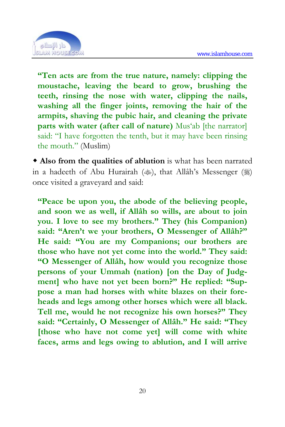

**"Ten acts are from the true nature, namely: clipping the moustache, leaving the beard to grow, brushing the teeth, rinsing the nose with water, clipping the nails, washing all the finger joints, removing the hair of the armpits, shaving the pubic hair, and cleaning the private parts with water (after call of nature)** Mus'ab [the narrator] said: "I have forgotten the tenth, but it may have been rinsing the mouth." (Muslim)

 **Also from the qualities of ablution** is what has been narrated in a hadeeth of Abu Hurairah ( $\gg$ ), that Allâh's Messenger ( $\gg$ ) once visited a graveyard and said:

**"Peace be upon you, the abode of the believing people, and soon we as well, if Allâh so wills, are about to join you. I love to see my brothers." They (his Companion) said: "Aren't we your brothers, O Messenger of Allâh?" He said: "You are my Companions; our brothers are those who have not yet come into the world." They said: "O Messenger of Allâh, how would you recognize those persons of your Ummah (nation) [on the Day of Judgment] who have not yet been born?" He replied: "Suppose a man had horses with white blazes on their foreheads and legs among other horses which were all black. Tell me, would he not recognize his own horses?" They said: "Certainly, O Messenger of Allâh." He said: "They [those who have not come yet] will come with white faces, arms and legs owing to ablution, and I will arrive**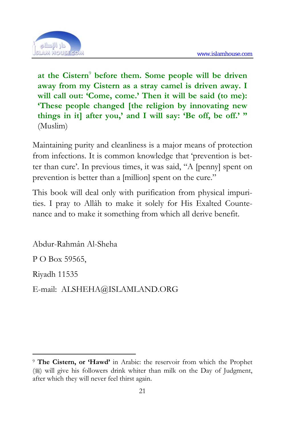

at the Cistern<sup>9</sup> before them. Some people will be driven **away from my Cistern as a stray camel is driven away. I**  will call out: 'Come, come.' Then it will be said (to me): **'These people changed [the religion by innovating new things in it] after you,' and I will say: 'Be off, be off.' "**  (Muslim)

Maintaining purity and cleanliness is a major means of protection from infections. It is common knowledge that 'prevention is better than cure'. In previous times, it was said, "A [penny] spent on prevention is better than a [million] spent on the cure."

This book will deal only with purification from physical impurities. I pray to Allâh to make it solely for His Exalted Countenance and to make it something from which all derive benefit.

Abdur-Rahmân Al-Sheha P O Box 59565, Riyadh 11535 E-mail: ALSHEHA@ISLAMLAND.ORG

<sup>&</sup>lt;u>.</u> <sup>9</sup> **The Cistern, or 'Hawd'** in Arabic: the reservoir from which the Prophet ( $\frac{1}{2}$ ) will give his followers drink whiter than milk on the Day of Judgment, after which they will never feel thirst again.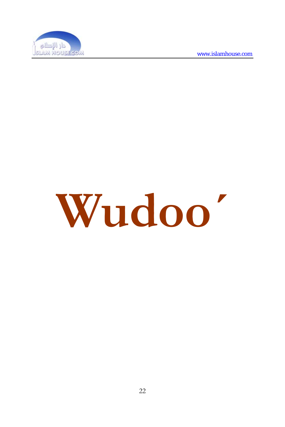

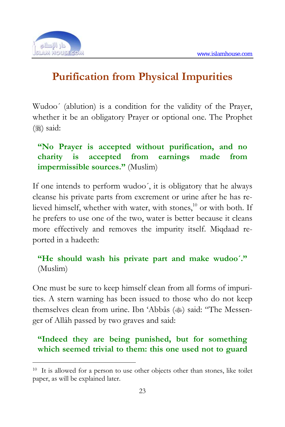

1

## **Purification from Physical Impurities**

Wudoo´ (ablution) is a condition for the validity of the Prayer, whether it be an obligatory Prayer or optional one. The Prophet  $(\frac{1}{2})$  said:

#### **"No Prayer is accepted without purification, and no charity is accepted from earnings made from impermissible sources."** (Muslim)

If one intends to perform wudoo´, it is obligatory that he always cleanse his private parts from excrement or urine after he has relieved himself, whether with water, with stones,<sup>10</sup> or with both. If he prefers to use one of the two, water is better because it cleans more effectively and removes the impurity itself. Miqdaad reported in a hadeeth:

#### **"He should wash his private part and make wudoo´."**  (Muslim)

One must be sure to keep himself clean from all forms of impurities. A stern warning has been issued to those who do not keep themselves clean from urine. Ibn 'Abbâs () said: "The Messenger of Allâh passed by two graves and said:

### **"Indeed they are being punished, but for something which seemed trivial to them: this one used not to guard**

<sup>10</sup> It is allowed for a person to use other objects other than stones, like toilet paper, as will be explained later.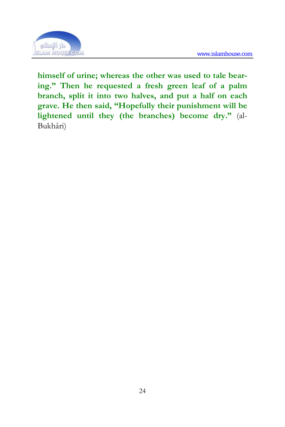

**himself of urine; whereas the other was used to tale bearing." Then he requested a fresh green leaf of a palm branch, split it into two halves, and put a half on each grave. He then said, "Hopefully their punishment will be lightened until they (the branches) become dry."** (al-Bukhâri)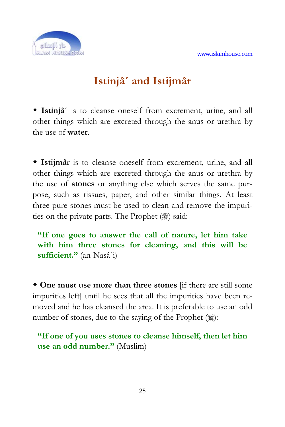

## **Istinjâ´ and Istijmâr**

 **Istinjâ´** is to cleanse oneself from excrement, urine, and all other things which are excreted through the anus or urethra by the use of **water**.

 **Istijmâr** is to cleanse oneself from excrement, urine, and all other things which are excreted through the anus or urethra by the use of **stones** or anything else which serves the same purpose, such as tissues, paper, and other similar things. At least three pure stones must be used to clean and remove the impurities on the private parts. The Prophet  $(\frac{1}{2})$  said:

**"If one goes to answer the call of nature, let him take with him three stones for cleaning, and this will be sufficient."** (an-Nasâ`i)

 **One must use more than three stones** [if there are still some impurities left] until he sees that all the impurities have been removed and he has cleansed the area. It is preferable to use an odd number of stones, due to the saying of the Prophet  $(\frac{1}{2})$ :

**"If one of you uses stones to cleanse himself, then let him use an odd number."** (Muslim)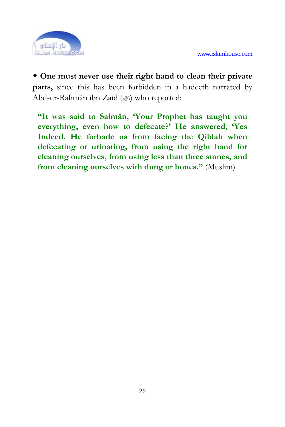

 **One must never use their right hand to clean their private parts,** since this has been forbidden in a hadeeth narrated by Abd-ur-Rahmân ibn Zaid ( $\gg$ ) who reported:

**"It was said to Salmân, 'Your Prophet has taught you everything, even how to defecate?' He answered, 'Yes Indeed. He forbade us from facing the Qiblah when defecating or urinating, from using the right hand for cleaning ourselves, from using less than three stones, and from cleaning ourselves with dung or bones."** (Muslim)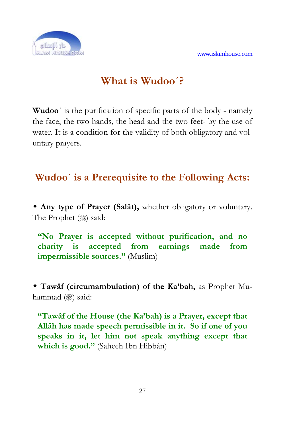

## **What is Wudoo´?**

**Wudoo´** is the purification of specific parts of the body - namely the face, the two hands, the head and the two feet- by the use of water. It is a condition for the validity of both obligatory and voluntary prayers.

## **Wudoo´ is a Prerequisite to the Following Acts:**

 **Any type of Prayer (Salât),** whether obligatory or voluntary. The Prophet (1) said:

**"No Prayer is accepted without purification, and no charity is accepted from earnings made from impermissible sources."** (Muslim)

 **Tawâf (circumambulation) of the Ka'bah,** as Prophet Muhammad (ﷺ) said:

**"Tawâf of the House (the Ka'bah) is a Prayer, except that Allâh has made speech permissible in it. So if one of you speaks in it, let him not speak anything except that which is good."** (Saheeh Ibn Hibbân)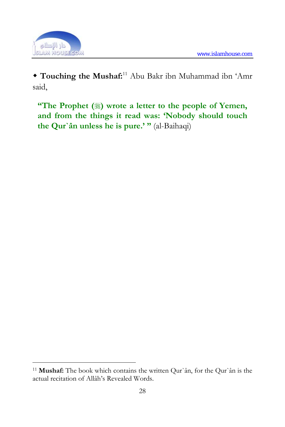

1

 **Touching the Mushaf:**11 Abu Bakr ibn Muhammad ibn 'Amr said,

**"The Prophet (** $\frac{1}{2}$ ) wrote a letter to the people of Yemen, **and from the things it read was: 'Nobody should touch the Qur`ân unless he is pure.' "** (al-Baihaqi)

<sup>11</sup> **Mushaf:** The book which contains the written Qur`ân, for the Qur`ân is the actual recitation of Allâh's Revealed Words.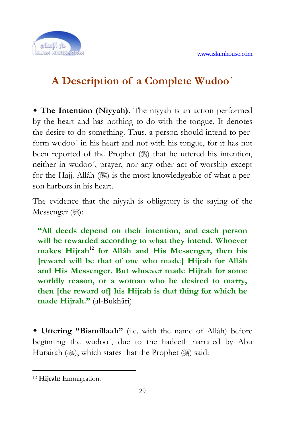

# **A Description of a Complete Wudoo´**

 **The Intention (Niyyah).** The niyy[ah](#page-25-0) is an action performed by the heart and has nothing to do with the tongue. It denotes the desire to do something. Thus, a person should intend to perform wudoo´ in his heart and not with his tongue, for it has not been reported of the Prophet  $(\frac{1}{2})$  that he uttered his intention, neither in wudoo´, prayer, nor any other act of worship except for the Hajj. Allâh ( $\frac{1}{2}$ ) is the most knowledgeable of what a person harbors in his heart.

The evidence that the niyyah is obligatory is the saying of the Messenger (2):

**"All deeds depend on their intention, and each person will be rewarded according to what they intend. Whoever makes Hijrah**<sup>12</sup> **for Allâh and His Messenger, then his [reward will be that of one who made] Hijrah for Allâh and His Messenger. But whoever made Hijrah for some worldly reason, or a woman who he desired to marry, then [the reward of] his Hijrah is that thing for which he made Hijrah."** (al-Bukhâri)

 **Uttering "Bismillaah"** (i.e. with the name of Allâh) before beginning the wudoo´, due to the hadeeth narrated by Abu Hurairah ( $\gg$ ), which states that the Prophet ( $\gg$ ) said:

<span id="page-25-0"></span><sup>12</sup> **Hijrah:** Emmigration.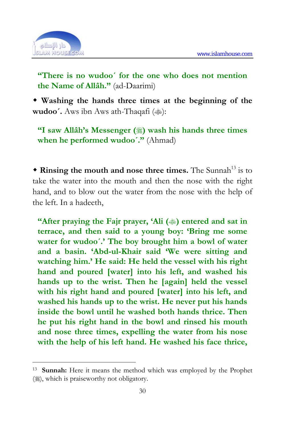

<u>.</u>

**"There is no wudoo´ for the one who does not mention the Name of Allâh."** (ad-Daarimi)

 **Washing the hands three times at the beginning of the wudoo'.** Aws ibn Aws ath-Thaqafi ( $\gg$ ):

**"I saw Allâh's Messenger (** $\gg$ ) wash his hands three times **when he performed wudoo´."** (Ahmad)

**\* Rinsing the mouth and nose three times.** The Sunnah<sup>13</sup> is to take the water into the mouth and then the nose with the right hand, and to blow out the water from the nose with the help of the left. In a hadeeth,

**"After praying the Fajr prayer, 'Ali (** $\hat{\ }$ **) entered and sat in terrace, and then said to a young boy: 'Bring me some water for wudoo´.' The boy brought him a bowl of water and a basin. 'Abd-ul-Khair said 'We were sitting and watching him.' He said: He held the vessel with his right hand and poured [water] into his left, and washed his hands up to the wrist. Then he [again] held the vessel with his right hand and poured [water] into his left, and washed his hands up to the wrist. He never put his hands inside the bowl until he washed both hands thrice. Then he put his right hand in the bowl and rinsed his mouth and nose three times, expelling the water from his nose with the help of his left hand. He washed his face thrice,** 

<sup>13</sup> **Sunnah:** Here it means the method which was employed by the Prophet  $(\%)$ , which is praiseworthy not obligatory.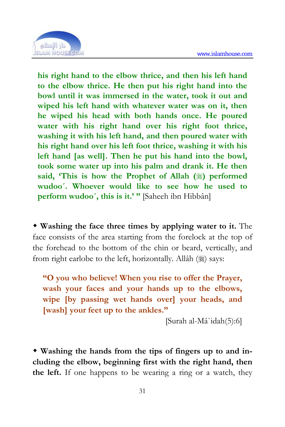

**his right hand to the elbow thrice, and then his left hand to the elbow thrice. He then put his right hand into the bowl until it was immersed in the water, took it out and wiped his left hand with whatever water was on it, then he wiped his head with both hands once. He poured water with his right hand over his right foot thrice, washing it with his left hand, and then poured water with his right hand over his left foot thrice, washing it with his left hand [as well]. Then he put his hand into the bowl, took some water up into his palm and drank it. He then**  said, 'This is how the Prophet of Allah ( $\frac{1}{20}$ ) performed **wudoo´. Whoever would like to see how he used to perform wudoo´, this is it.' "** [Saheeh ibn Hibbân]

 **Washing the face three times by applying water to it.** The face consists of the area starting from the forelock at the top of the forehead to the bottom of the chin or beard, vertically, and from right earlobe to the left, horizontally. Allâh (1) says:

**"O you who believe! When you rise to offer the Prayer, wash your faces and your hands up to the elbows, wipe [by passing wet hands over] your heads, and [wash] your feet up to the ankles."** 

[Surah al-Mâ`idah(5):6]

 **Washing the hands from the tips of fingers up to and including the elbow, beginning first with the right hand, then the left.** If one happens to be wearing a ring or a watch, they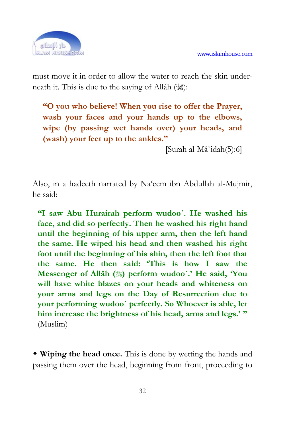![](_page_28_Picture_1.jpeg)

must move it in order to allow the water to reach the skin underneath it. This is due to the saying of Allâh  $(\frac{1}{2})$ :

**"O you who believe! When you rise to offer the Prayer, wash your faces and your hands up to the elbows, wipe (by passing wet hands over) your heads, and (wash) your feet up to the ankles."** 

[Surah al-Mâ`idah(5):6]

Also, in a hadeeth narrated by Na'eem ibn Abdullah al-Mujmir, he said:

**"I saw Abu Hurairah perform wudoo´. He washed his face, and did so perfectly. Then he washed his right hand until the beginning of his upper arm, then the left hand the same. He wiped his head and then washed his right foot until the beginning of his shin, then the left foot that the same. He then said: 'This is how I saw the Messenger of Allâh () perform wudoo´.' He said, 'You will have white blazes on your heads and whiteness on your arms and legs on the Day of Resurrection due to your performing wudoo´ perfectly. So Whoever is able, let him increase the brightness of his head, arms and legs.' "**  (Muslim)

 **Wiping the head once.** This is done by wetting the hands and passing them over the head, beginning from front, proceeding to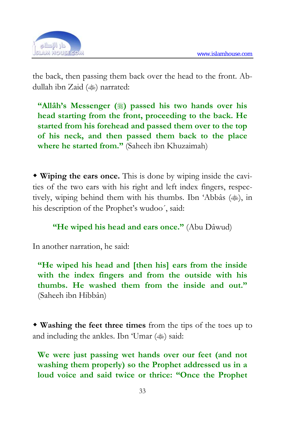![](_page_29_Picture_1.jpeg)

the back, then passing them back over the head to the front. Abdullah ibn Zaid ( $\gg$ ) narrated:

**"Allâh's Messenger ()** passed his two hands over his **head starting from the front, proceeding to the back. He started from his forehead and passed them over to the top of his neck, and then passed them back to the place where he started from."** (Saheeh ibn Khuzaimah)

 **Wiping the ears once.** This is done by wiping inside the cavities of the two ears with his right and left index fingers, respectively, wiping behind them with his thumbs. Ibn 'Abbâs ( $\ddot{\ast}$ ), in his description of the Prophet's wudoo´, said:

#### **"He wiped his head and ears once."** (Abu Dâwud)

In another narration, he said:

**"He wiped his head and [then his] ears from the inside with the index fingers and from the outside with his thumbs. He washed them from the inside and out."**  (Saheeh ibn Hibbân)

 **Washing the feet three times** from the tips of the toes up to and including the ankles. Ibn 'Umar  $(\text{)}$  said:

**We were just passing wet hands over our feet (and not washing them properly) so the Prophet addressed us in a loud voice and said twice or thrice: "Once the Prophet**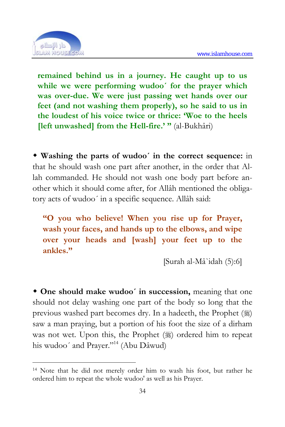![](_page_30_Picture_1.jpeg)

1

**remained behind us in a journey. He caught up to us while we were performing wudoo´ for the prayer which was over-due. We were just passing wet hands over our feet (and not washing them properly), so he said to us in the loudest of his voice twice or thrice: 'Woe to the heels [left unwashed] from the Hell-fire.' "** (al-Bukhâri)

 **Washing the parts of wudoo´ in the correct sequence:** in that he should wash one part after another, in the order that Allah commanded. He should not wash one body part before another which it should come after, for Allâh mentioned the obligatory acts of wudoo´ in a specific sequence. Allâ[h s](#page-30-0)aid:

**"O you who believe! When you rise up for Prayer, wash your faces, and hands up to the elbows, and wipe over your heads and [wash] your feet up to the ankles."** 

[Surah al-Mâ`idah (5):6]

 **One should make wudoo´ in succession,** meaning that one should not delay washing one part of the body so long that the previous washed part becomes dry. In a hadeeth, the Prophet (,)) saw a man praying, but a portion of his foot the size of a dirham was not wet. Upon this, the Prophet (1) ordered him to repeat his wudoo' and Prayer."<sup>14</sup> (Abu Dâwud)

<span id="page-30-0"></span><sup>14</sup> Note that he did not merely order him to wash his foot, but rather he ordered him to repeat the whole wudoo' as well as his Prayer.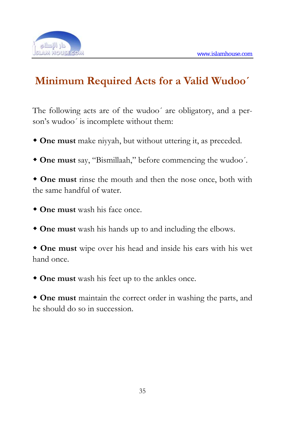![](_page_31_Picture_1.jpeg)

# **Minimum Required Acts for a Valid Wudoo´**

The following acts are of the wudoo´ are obligatory, and a person's wudoo´ is incomplete without them:

- **One must** make niyyah, but without uttering it, as preceded.
- **One must** say, "Bismillaah," before commencing the wudoo´.

 **One must** rinse the mouth and then the nose once, both with the same handful of water.

- **One must** wash his face once.
- **One must** wash his hands up to and including the elbows.

 **One must** wipe over his head and inside his ears with his wet hand once.

**One must** wash his feet up to the ankles once.

 **One must** maintain the correct order in washing the parts, and he should do so in succession.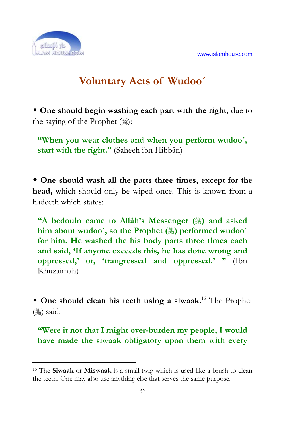![](_page_32_Picture_1.jpeg)

1

# **Voluntary Acts of Wudoo´**

 **One should begin washing each part with the right,** due to the saying of the Prophet  $(\frac{1}{2})$ :

**"When you wear clothes and when you perform wudoo´, start with the right."** (Saheeh ibn Hibbân)

 **One should wash all the parts three times, except for the head,** which should only be wiped once. This is known from a hadeeth which states:

**"A bedouin came to Allâh's Messenger (** $\circledast$ **) and asked** him about wudoo', so the Prophet ( $\frac{1}{2}$ ) performed wudoo' **for him. He washed the his body parts three times each and said, 'If anyone exceeds this, he has done wrong and oppressed,' or, 'trangressed and oppressed.' "** (Ibn Khuzaimah)

 **One should clean his teeth using a siwaak.**15 The Prophet  $(% )$  said:

**"Were it not that I might over-burden my people, I would have made the siwaak obligatory upon them with every** 

<sup>15</sup> The **Siwaak** or **Miswaak** is a small twig which is used like a brush to clean the teeth. One may also use anything else that serves the same purpose.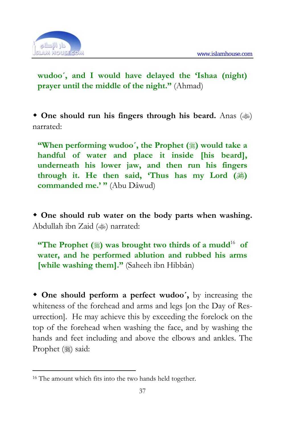![](_page_33_Picture_1.jpeg)

**wudoo´, and I would have delayed the 'Ishaa (night) prayer until the middle of the night."** (Ahmad)

**• One should run his fingers through his beard.** Anas ( $\gg$ ) narrated:

**"When performing wudoo', the Prophet (** $\mathcal{L}$ ) would take a **handful of water and place it inside [his beard], underneath his lower jaw, and then run his fingers**  through it. He then said, 'Thus has my Lord ( $\frac{1}{2}$ ) **commanded me.' "** (Abu Dâwud)

 **One should rub water on the body parts when washing.** Abdullah ibn Zaid () narrated:

**"The Prophet**  $(\frac{1}{2})$  **was brought two thirds of a mudd<sup>16</sup> of water, and he performed ablution and rubbed his arms [while washing them]."** (Saheeh ibn Hibbân)

 **One should perform a perfect wudoo´,** by increasing the whiteness of the forehead and arms and legs [on the Day of Resurrection]. He may achieve this by exceeding the forelock on the top of the forehead when washing the face, and by washing the hands and feet including and above the elbows and ankles. The Prophet (2) said:

<sup>16</sup> The amount which fits into the two hands held together.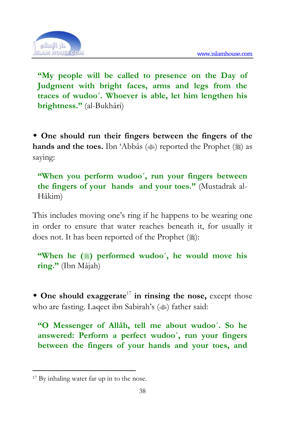![](_page_34_Picture_1.jpeg)

**"My people will be called to presence on the Day of Judgment with bright faces, arms and legs from the traces of wudoo´. Whoever is able, let him lengthen his brightness."** (al-Bukhâri)

 **One should run their fingers between the fingers of the**  hands and the toes. Ibn 'Abbâs ( $\gg$ ) reported the [Pr](#page-34-0)ophet ( $\gg$ ) as saying:

**"When you perform wudoo´, run your fingers between the fingers of your hands and your toes."** (Mustadrak al-Hâkim)

This includes moving one's ring if he happens to be wearing one in order to ensure that water reaches beneath it, for usually it does not. It has been reported of the Prophet ( $\mathcal{E}$ ):

**"When he (** $\ddot{\text{m}}$ ) performed wudoo', he would move his **ring."** (Ibn Mâjah)

 **One should exaggerate**<sup>17</sup> **in rinsing the nose,** except those who are fasting. Laqeet ibn Sabirah's ( $\gg$ ) father said:

**"O Messenger of Allâh, tell me about wudoo´. So he answered: Perform a perfect wudoo´, run your fingers between the fingers of your hands and your toes, and** 

<span id="page-34-0"></span><sup>17</sup> By inhaling water far up in to the nose.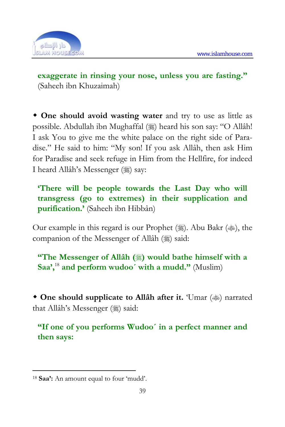![](_page_35_Picture_1.jpeg)

**exaggerate in rinsing your nose, unless you are fasting."**  (Saheeh ibn Khuzaimah)

 **One should avoid wasting water** and try to use as little as possible. Abdullah ibn Mughaffal () heard his son say: "O Allâh! I ask You to give me the wh[ite](#page-35-0) palace on the right side of Paradise." He said to him: "My son! If you ask Allâh, then ask Him for Paradise and seek refuge in Him from the Hellfire, for indeed I heard Allâh's Messenger (※) say:

**'There will be people towards the Last Day who will transgress (go to extremes) in their supplication and purification.'** (Saheeh ibn Hibbân)

Our example in this regard is our Prophet ( $\frac{1}{2}$ ). Abu Bakr ( $\frac{1}{2}$ ), the companion of the Messenger of Allâh ( $\ddot{\text{}}$ ) said:

**"The Messenger of Allâh (** $*)$  would bathe himself with a **Saa',**<sup>18</sup> **and perform wudoo´ with a mudd."** (Muslim)

• One should supplicate to Allah after it. 'Umar () narrated that Allâh's Messenger (※) said:

**"If one of you performs Wudoo´ in a perfect manner and then says:** 

<span id="page-35-0"></span><sup>18</sup> **Saa':** An amount equal to four 'mudd'.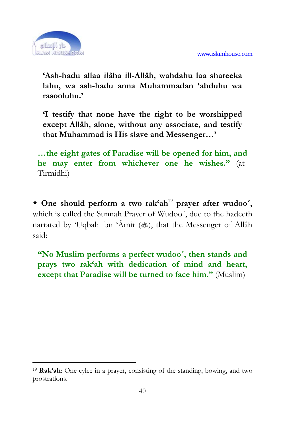

1

**'Ash-hadu allaa ilâha ill-Allâh, wahdahu laa shareeka lahu, wa ash-hadu anna Muhammadan 'abduhu wa rasooluhu.'** 

**'I testify that none have the right to be worshipped except Allâh, alone, without any associate, and testify that Muhammad is His slave and Messenger…'** 

**…the eight gates of Paradise will be opened for him, and he may enter from whichever one he wishes."** (at-Tirmidhi)

 **One should perform a two rak'ah**<sup>19</sup> **prayer after wudoo´,** which is called the Sunnah Prayer of Wudoo´, due to the hadeeth narrated by 'Uqbah ibn 'Âmir  $(\text{)}$ , that the Messenger of Allâh said:

**"No Muslim performs a perfect wudoo´, then stands and prays two rak'ah with dedication of mind and heart, except that Paradise will be turned to face him."** (Muslim)

<span id="page-36-0"></span><sup>19</sup> **Rak'ah**: One cylce in a prayer, consisting of the standing, bowing, and two prostrations.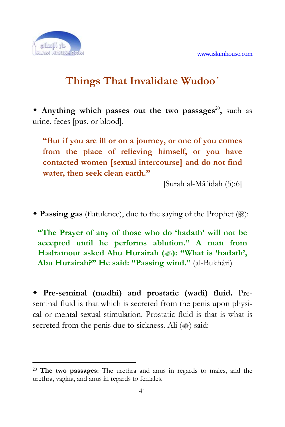

1

# **Things That Invalidate Wudoo´**

**Anything which passes out the two passages<sup>20</sup>, such as** urine, feces [pus, or blood].

**"But if you are ill or on a journey, or one of you comes from the place of relieving himself, or you have contacted women [sexual intercourse] and do not find water, then seek clean earth."** 

[Surah al-Mâ`idah (5):6]

**Passing gas** (flatulence), due to the saying of the Prophet ():

**"The Prayer of any of those who do 'hadath' will not be accepted until he performs ablution." A man from Hadramout asked Abu Hurairah (** $\gg$ **): "What is 'hadath', Abu Hurairah?" He said: "Passing wind."** (al-Bukhâri)

 **Pre-seminal (madhi) and prostatic (wadi) fluid.** Preseminal fluid is that which is secreted from the penis upon physical or mental sexual stimulation. Prostatic fluid is that is what is secreted from the penis due to sickness. Ali ( $\gg$ ) said:

<sup>20</sup> **The two passages:** The urethra and anus in regards to males, and the urethra, vagina, and anus in regards to females.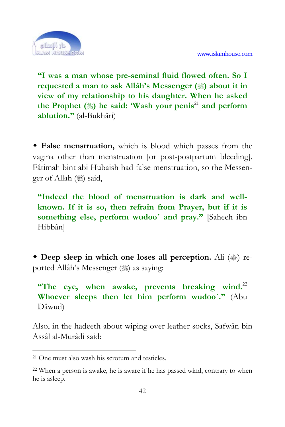

**"I was a man whose pre-seminal fluid flowed often. So I requested a man to ask Allâh's Messenger ()** about it in **view of my relationship to his daughter. When he asked the Prophet () he said: 'Wash your penis**<sup>21</sup> **and perform ablution."** (al-Bukhâri)

 **False menstruation,** which is blood which passes from the vagina other than menstruation [or post-postpartum bleeding]. Fâtimah bint abi Hubaish had false menstruation, so the Messenger of Allah (※) said,

**"Indeed the blood of menstruation is dark and wellknown. If it is so, then refrain from Prayer, but if it is something else, perform wudoo´ and pray."** [Saheeh ibn Hibbân]

**Deep sleep in which one loses all perception.** Ali ( $\gg$ ) reported Allâh's Messenger (1) as saying:

**"The eye, when awake, prevents breaking wind.**<sup>22</sup> **Whoever sleeps then let him perform wudoo´."** (Abu Dâwud)

Also, in the hadeeth about wiping over leather socks, Safwân bin Assâl al-Murâdi said:

1

<sup>21</sup> One must also wash his scrotum and testicles.

<sup>22</sup> When a person is awake, he is aware if he has passed wind, contrary to when he is asleep.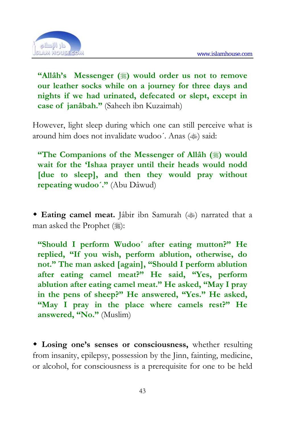

**"Allâh's Messenger ()** would order us not to remove **our leather socks while on a journey for three days and nights if we had urinated, defecated or slept, except in case of janâbah."** (Saheeh ibn Kuzaimah)

However, light sleep during which one can still perceive what is around him does not invalidate wudoo'. Anas ( $\gg$ ) said:

**"The Companions of the Messenger of Allâh (** $\ddot{\textbf{\text{}}}$ **) would wait for the 'Ishaa prayer until their heads would nodd [due to sleep], and then they would pray without repeating wudoo´."** (Abu Dâwud)

• **Eating camel meat.** Jabir ibn Samurah ( $\gg$ ) narrated that a man asked the Prophet (:):

**"Should I perform Wudoo´ after eating mutton?" He replied, "If you wish, perform ablution, otherwise, do not." The man asked [again], "Should I perform ablution after eating camel meat?" He said, "Yes, perform ablution after eating camel meat." He asked, "May I pray in the pens of sheep?" He answered, "Yes." He asked, "May I pray in the place where camels rest?" He answered, "No."** (Muslim)

 **Losing one's senses or consciousness,** whether resulting from insanity, epilepsy, possession by the Jinn, fainting, medicine, or alcohol, for consciousness is a prerequisite for one to be held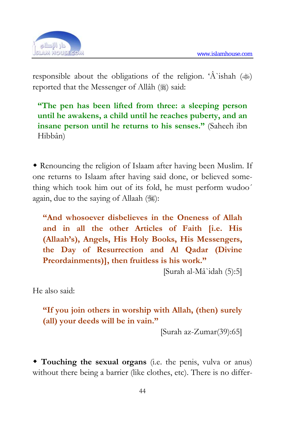

responsible about the obligations of the religion. 'A ishah  $(\text{)}$ reported that the Messenger of Allâh ( $\frac{1}{20}$ ) said:

**"The pen has been lifted from three: a sleeping person until he awakens, a child until he reaches puberty, and an insane person until he returns to his senses."** (Saheeh ibn Hibbân)

 Renouncing the religion of Islaam after having been Muslim. If one returns to Islaam after having said done, or believed something which took him out of its fold, he must perform wudoo´ again, due to the saying of Allaah (,):

**"And whosoever disbelieves in the Oneness of Allah and in all the other Articles of Faith [i.e. His (Allaah's), Angels, His Holy Books, His Messengers, the Day of Resurrection and Al Qadar (Divine Preordainments)], then fruitless is his work."** 

[Surah al-Mâ`idah (5):5]

He also said:

**"If you join others in worship with Allah, (then) surely (all) your deeds will be in vain."** 

[Surah az-Zumar(39):65]

 **Touching the sexual organs** (i.e. the penis, vulva or anus) without there being a barrier (like clothes, etc). There is no differ-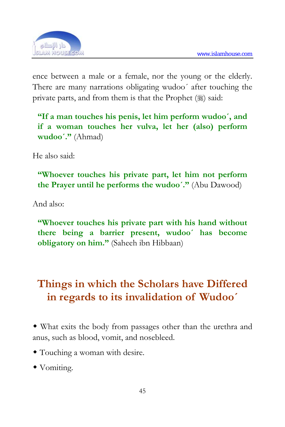

ence between a male or a female, nor the young or the elderly. There are many narrations obligating wudoo´ after touching the private parts, and from them is that the Prophet  $(\frac{1}{2})$  said:

**"If a man touches his penis, let him perform wudoo´, and if a woman touches her vulva, let her (also) perform wudoo´."** (Ahmad)

He also said:

**"Whoever touches his private part, let him not perform the Prayer until he performs the wudoo´."** (Abu Dawood)

And also:

**"Whoever touches his private part with his hand without there being a barrier present, wudoo´ has become obligatory on him."** (Saheeh ibn Hibbaan)

#### **Things in which the Scholars have Differed in regards to its invalidation of Wudoo´**

 What exits the body from passages other than the urethra and anus, such as blood, vomit, and nosebleed.

- Touching a woman with desire.
- Vomiting.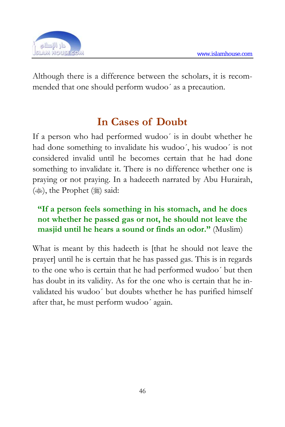

Although there is a difference between the scholars, it is recommended that one should perform wudoo´ as a precaution.

## **In Cases of Doubt**

If a person who had performed wudoo´ is in doubt whether he had done something to invalidate his wudoo´, his wudoo´ is not considered invalid until he becomes certain that he had done something to invalidate it. There is no difference whether one is praying or not praying. In a hadeeeth narrated by Abu Hurairah,  $(\text{(*)})$ , the Prophet  $(\text{(*)})$  said:

#### **"If a person feels something in his stomach, and he does not whether he passed gas or not, he should not leave the masjid until he hears a sound or finds an odor."** (Muslim)

What is meant by this hadeeth is [that he should not leave the prayer] until he is certain that he has passed gas. This is in regards to the one who is certain that he had performed wudoo´ but then has doubt in its validity. As for the one who is certain that he invalidated his wudoo´ but doubts whether he has purified himself after that, he must perform wudoo´ again.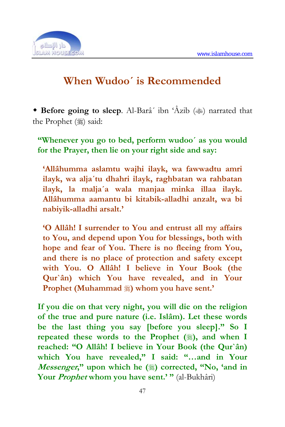

#### **When Wudoo´ is Recommended**

**Before going to sleep.** Al-Barâ' ibn 'Âzib ( $\gg$ ) narrated that the Prophet (2) said:

**"Whenever you go to bed, perform wudoo´ as you would for the Prayer, then lie on your right side and say:** 

**'Allâhumma aslamtu wajhi ilayk, wa fawwadtu amri ilayk, wa alja´tu dhahri ilayk, raghbatan wa rahbatan ilayk, la malja´a wala manjaa minka illaa ilayk. Allâhumma aamantu bi kitabik-alladhi anzalt, wa bi nabiyik-alladhi arsalt.'** 

**'O Allâh! I surrender to You and entrust all my affairs to You, and depend upon You for blessings, both with hope and fear of You. There is no fleeing from You, and there is no place of protection and safety except with You. O Allâh! I believe in Your Book (the Qur`ân) which You have revealed, and in Your Prophet (Muhammad**  $\hat{\ast}$ **) whom you have sent.'** 

**If you die on that very night, you will die on the religion of the true and pure nature (i.e. Islâm). Let these words be the last thing you say [before you sleep]." So I**  repeated these words to the Prophet (**\\\\**), and when I **reached: "O Allâh! I believe in Your Book (the Qur`ân) which You have revealed," I said: "…and in Your**  *Messenger*," upon which he ( $\frac{1}{20}$ ) corrected, "No, 'and in **Your Prophet whom you have sent.' "** (al-Bukhâri)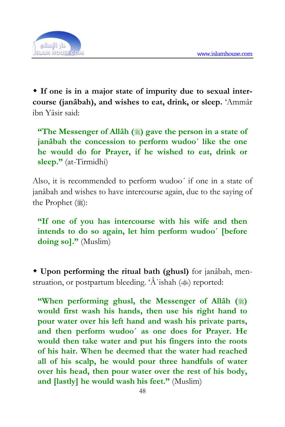

 **If one is in a major state of impurity due to sexual intercourse (janâbah), and wishes to eat, drink, or sleep.** 'Ammâr ibn Yâsir said:

**"The Messenger of Allâh (3) gave the person in a state of janâbah the concession to perform wudoo´ like the one he would do for Prayer, if he wished to eat, drink or sleep."** (at-Tirmidhi)

Also, it is recommended to perform wudoo´ if one in a state of janâbah and wishes to have intercourse again, due to the saying of the Prophet (2):

**"If one of you has intercourse with his wife and then intends to do so again, let him perform wudoo´ [before doing so]."** (Muslim)

 **Upon performing the ritual bath (ghusl)** for janâbah, menstruation, or postpartum bleeding. ' $\hat{A}$ 'ishah ( $\hat{\ }$ ) reported:

**"When performing ghusl, the Messenger of Allâh (** $\frac{1}{20}$ **) would first wash his hands, then use his right hand to pour water over his left hand and wash his private parts, and then perform wudoo´ as one does for Prayer. He would then take water and put his fingers into the roots of his hair. When he deemed that the water had reached all of his scalp, he would pour three handfuls of water over his head, then pour water over the rest of his body, and [lastly] he would wash his feet."** (Muslim)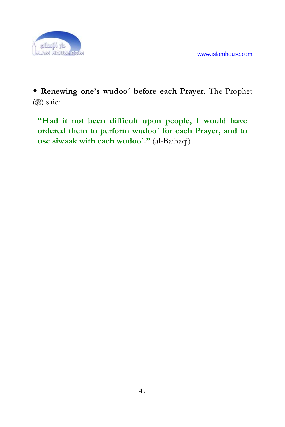

 **Renewing one's wudoo´ before each Prayer.** The Prophet  $($   $)$  said:

**"Had it not been difficult upon people, I would have ordered them to perform wudoo´ for each Prayer, and to use siwaak with each wudoo´."** (al-Baihaqi)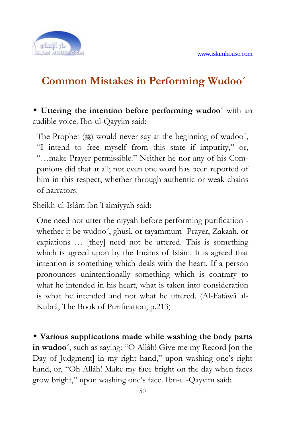

## **Common Mistakes in Performing Wudoo´**

 **Uttering the intention before performing wudoo´** with an audible voice. Ibn-ul-Qayyim said:

The Prophet  $(\frac{1}{2})$  would never say at the beginning of wudoo', "I intend to free myself from this state if impurity," or, "…make Prayer permissible." Neither he nor any of his Companions did that at all; not even one word has been reported of him in this respect, whether through authentic or weak chains of narrators.

Sheikh-ul-Islâm ibn Taimiyyah said:

One need not utter the niyyah before performing purification whether it be wudoo´, ghusl, or tayammum- Prayer, Zakaah, or expiations … [they] need not be uttered. This is something which is agreed upon by the Imâms of Islâm. It is agreed that intention is something which deals with the heart. If a person pronounces unintentionally something which is contrary to what he intended in his heart, what is taken into consideration is what he intended and not what he uttered. (Al-Fatâwâ al-Kubrâ, The Book of Purification, p.213)

 **Various supplications made while washing the body parts in wudoo´**, such as saying: "O Allâh! Give me my Record [on the Day of Judgment] in my right hand," upon washing one's right hand, or, "Oh Allâh! Make my face bright on the day when faces grow bright," upon washing one's face. Ibn-ul-Qayyim said: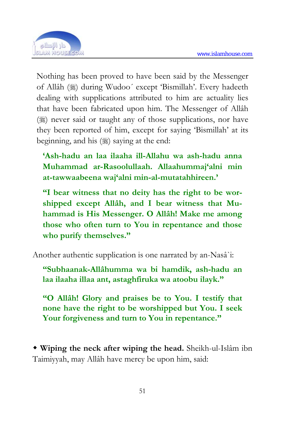

Nothing has been proved to have been said by the Messenger of Allâh (3) during Wudoo' except 'Bismillah'. Every hadeeth dealing with supplications attributed to him are actuality lies that have been fabricated upon him. The Messenger of Allâh ( $\frac{1}{2}$ ) never said or taught any of those supplications, nor have they been reported of him, except for saying 'Bismillah' at its beginning, and his (1) saying at the end:

**'Ash-hadu an laa ilaaha ill-Allahu wa ash-hadu anna Muhammad ar-Rasoolullaah. Allaahummaj'alni min at-tawwaabeena waj'alni min-al-mutatahhireen.'** 

**"I bear witness that no deity has the right to be worshipped except Allâh, and I bear witness that Muhammad is His Messenger. O Allâh! Make me among those who often turn to You in repentance and those who purify themselves."** 

Another authentic supplication is one narrated by an-Nasâ`i:

**"Subhaanak-Allâhumma wa bi hamdik, ash-hadu an laa ilaaha illaa ant, astaghfiruka wa atoobu ilayk."** 

**"O Allâh! Glory and praises be to You. I testify that none have the right to be worshipped but You. I seek Your forgiveness and turn to You in repentance."** 

 **Wiping the neck after wiping the head.** Sheikh-ul-Islâm ibn Taimiyyah, may Allâh have mercy be upon him, said: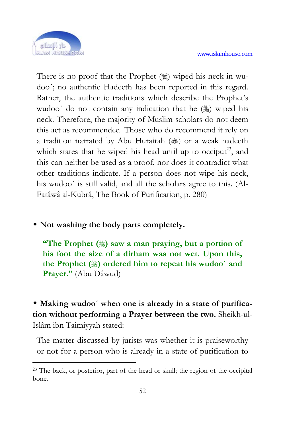

1

There is no proof that the Prophet  $(\frac{1}{2})$  wiped his neck in wudoo´; no authentic Hadeeth has been reported in this regard. Rather, the authentic traditions which describe the Prophet's wudoo' do not contain any indication that he ( $\frac{1}{20}$ ) wiped his neck. Therefore, the majority of Muslim scholars do not deem this act as recommended. Those who do recommend it rely on a tradition narrated by Abu Hurairah  $(\text{)}$  or a weak hadeeth which states that he wiped his head until up to occiput<sup>23</sup>, and this can neither be used as a proof, nor does it contradict what other traditions indicate. If a person does not wipe his neck, his wudoo´ is still valid, and all the scholars agree to this. (Al-Fatâwâ al-Kubrâ, The Book of Purification, p. 280)

**Not washing the body parts completely.**

**"The Prophet () saw a man praying, but a portion of his foot the size of a dirham was not wet. Upon this, the Prophet () ordered him to repeat his wudoo´ and Prayer."** (Abu Dâwud)

 **Making wudoo´ when one is already in a state of purification without performing a Prayer between the two.** Sheikh-ul-Islâm ibn Taimiyyah stated:

The matter discussed by jurists was whether it is praiseworthy or not for a person who is already in a state of purification to

<sup>23</sup> The back, or posterior, part of the head or skull; the region of the occipital bone.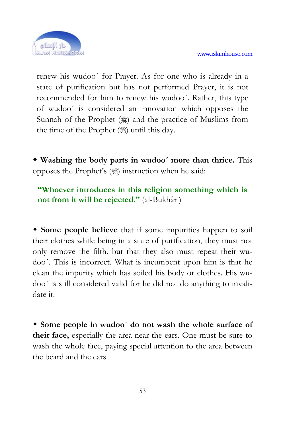

renew his wudoo´ for Prayer. As for one who is already in a state of purification but has not performed Prayer, it is not recommended for him to renew his wudoo´. Rather, this type of wudoo´ is considered an innovation which opposes the Sunnah of the Prophet  $(\frac{1}{2})$  and the practice of Muslims from the time of the Prophet  $(\frac{1}{2})$  until this day.

 **Washing the body parts in wudoo´ more than thrice.** This opposes the Prophet's  $(\frac{1}{2})$  instruction when he said:

**"Whoever introduces in this religion something which is not from it will be rejected."** (al-Bukhâri)

 **Some people believe** that if some impurities happen to soil their clothes while being in a state of purification, they must not only remove the filth, but that they also must repeat their wudoo´. This is incorrect. What is incumbent upon him is that he clean the impurity which has soiled his body or clothes. His wudoo´ is still considered valid for he did not do anything to invalidate it.

 **Some people in wudoo´ do not wash the whole surface of their face,** especially the area near the ears. One must be sure to wash the whole face, paying special attention to the area between the beard and the ears.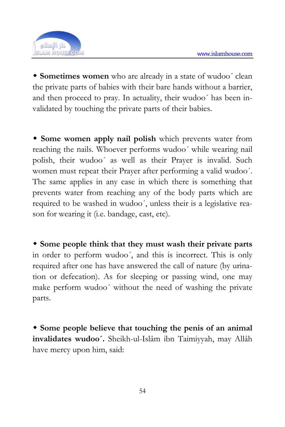

 **Sometimes women** who are already in a state of wudoo´ clean the private parts of babies with their bare hands without a barrier, and then proceed to pray. In actuality, their wudoo´ has been invalidated by touching the private parts of their babies.

 **Some women apply nail polish** which prevents water from reaching the nails. Whoever performs wudoo´ while wearing nail polish, their wudoo´ as well as their Prayer is invalid. Such women must repeat their Prayer after performing a valid wudoo´. The same applies in any case in which there is something that prevents water from reaching any of the body parts which are required to be washed in wudoo´, unless their is a legislative reason for wearing it (i.e. bandage, cast, etc).

 **Some people think that they must wash their private parts** in order to perform wudoo´, and this is incorrect. This is only required after one has have answered the call of nature (by urination or defecation). As for sleeping or passing wind, one may make perform wudoo´ without the need of washing the private parts.

 **Some people believe that touching the penis of an animal invalidates wudoo´.** Sheikh-ul-Islâm ibn Taimiyyah, may Allâh have mercy upon him, said: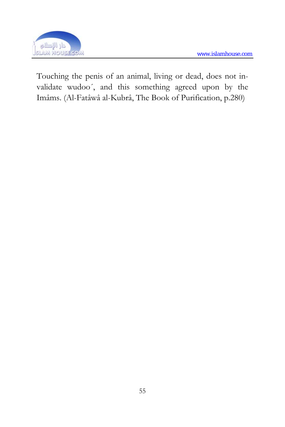

Touching the penis of an animal, living or dead, does not invalidate wudoo´, and this something agreed upon by the Imâms. (Al-Fatâwâ al-Kubrâ, The Book of Purification, p.280)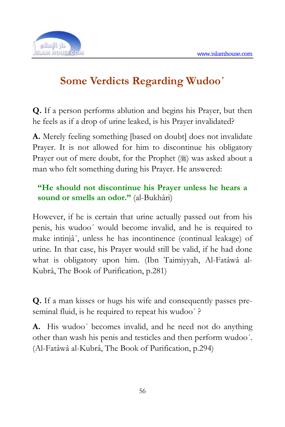

# **Some Verdicts Regarding Wudoo´**

**Q.** If a person performs ablution and begins his Prayer, but then he feels as if a drop of urine leaked, is his Prayer invalidated?

**A.** Merely feeling something [based on doubt] does not invalidate Prayer. It is not allowed for him to discontinue his obligatory Prayer out of mere doubt, for the Prophet (#) was asked about a man who felt something during his Prayer. He answered:

#### **"He should not discontinue his Prayer unless he hears a sound or smells an odor."** (al-Bukhâri)

However, if he is certain that urine actually passed out from his penis, his wudoo´ would become invalid, and he is required to make intinjâ´, unless he has incontinence (continual leakage) of urine. In that case, his Prayer would still be valid, if he had done what is obligatory upon him. (Ibn Taimiyyah, Al-Fatâwâ al-Kubrâ, The Book of Purification, p.281)

**Q.** If a man kisses or hugs his wife and consequently passes preseminal fluid, is he required to repeat his wudoo´ ?

**A.** His wudoo´ becomes invalid, and he need not do anything other than wash his penis and testicles and then perform wudoo´. (Al-Fatâwâ al-Kubrâ, The Book of Purification, p.294)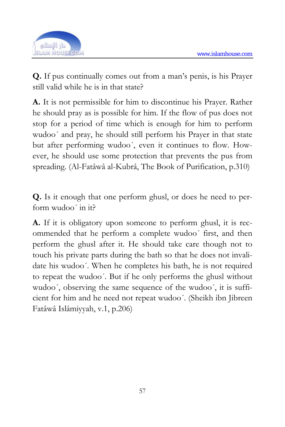

**Q.** If pus continually comes out from a man's penis, is his Prayer still valid while he is in that state?

**A.** It is not permissible for him to discontinue his Prayer. Rather he should pray as is possible for him. If the flow of pus does not stop for a period of time which is enough for him to perform wudoo´ and pray, he should still perform his Prayer in that state but after performing wudoo´, even it continues to flow. However, he should use some protection that prevents the pus from spreading. (Al-Fatâwâ al-Kubrâ, The Book of Purification, p.310)

**Q.** Is it enough that one perform ghusl, or does he need to perform wudoo´ in it?

**A.** If it is obligatory upon someone to perform ghusl, it is recommended that he perform a complete wudoo´ first, and then perform the ghusl after it. He should take care though not to touch his private parts during the bath so that he does not invalidate his wudoo´. When he completes his bath, he is not required to repeat the wudoo´. But if he only performs the ghusl without wudoo´, observing the same sequence of the wudoo´, it is sufficient for him and he need not repeat wudoo´. (Sheikh ibn Jibreen Fatâwâ Islâmiyyah, v.1, p.206)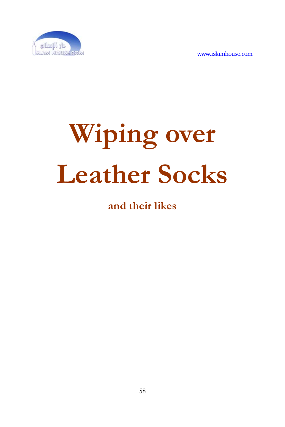

# **Wiping over Leather Socks**

#### **and their likes**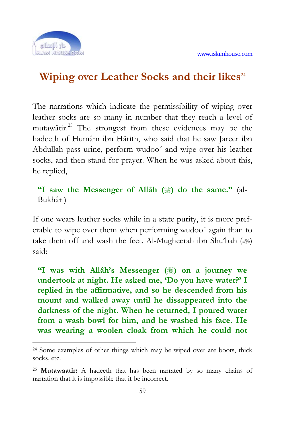

<u>.</u>

#### **Wiping over Leather Socks and their likes**<sup>24</sup>

The narrations which indicate the permissibility of wiping over leather socks are so many in number that they reach a level of mutawâtir.25 The strongest from these evidences may be the hadeeth of Humâm ibn Hârith, who said that he saw Jareer ibn Abdullah pass urine, perform wudoo´ and wipe over his leather socks, and then stand for prayer. When he was asked about this, he replied,

**"I saw the Messenger of Allâh (** $\frac{1}{20}$ **) do the same."** (al-Bukhâri)

If one wears leather socks while in a state purity, it is more preferable to wipe over them when performing wudoo´ again than to take them off and wash the feet. Al-Mugheerah ibn Shu'bah ( $\gg$ ) said:

<sup>"I</sup> was with Allâh's Messenger (#) on a journey we **undertook at night. He asked me, 'Do you have water?' I replied in the affirmative, and so he descended from his mount and walked away until he dissappeared into the darkness of the night. When he returned, I poured water from a wash bowl for him, and he washed his face. He was wearing a woolen cloak from which he could not** 

<sup>24</sup> Some examples of other things which may be wiped over are boots, thick socks, etc.

<sup>25</sup> **Mutawaatir:** A hadeeth that has been narrated by so many chains of narration that it is impossible that it be incorrect.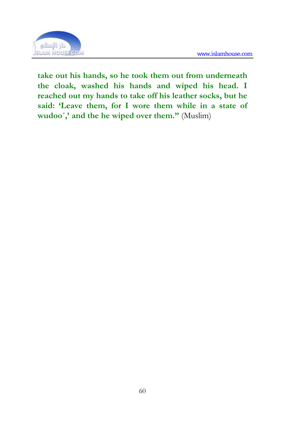

**take out his hands, so he took them out from underneath the cloak, washed his hands and wiped his head. I reached out my hands to take off his leather socks, but he said: 'Leave them, for I wore them while in a state of**  wudoo',' and the he wiped over them." **(Muslim)**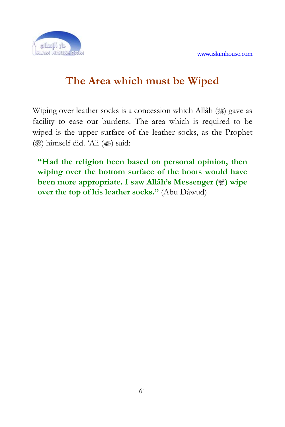

## **The Area which must be Wiped**

Wiping over leather socks is a concession which Allâh () gave as facility to ease our burdens. The area which is required to be wiped is the upper surface of the leather socks, as the Prophet ()) himself did. 'Ali () said:

**"Had the religion been based on personal opinion, then wiping over the bottom surface of the boots would have been more appropriate. I saw Allâh's Messenger (5) wipe over the top of his leather socks."** (Abu Dâwud)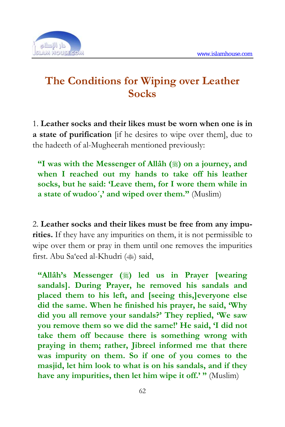

## **The Conditions for Wiping over Leather Socks**

1. **Leather socks and their likes must be worn when one is in a state of purification** [if he desires to wipe over them], due to the hadeeth of al-Mugheerah mentioned previously:

**"I was with the Messenger of Allah (** $\ast$ ) on a journey, and **when I reached out my hands to take off his leather socks, but he said: 'Leave them, for I wore them while in a state of wudoo´,' and wiped over them."** (Muslim)

2. **Leather socks and their likes must be free from any impurities.** If they have any impurities on them, it is not permissible to wipe over them or pray in them until one removes the impurities first. Abu Sa'eed al-Khudri (<a>said,

**"Allâh's Messenger (** $\frac{1}{2}$ ) led us in Prayer [wearing **sandals]. During Prayer, he removed his sandals and placed them to his left, and [seeing this,]everyone else did the same. When he finished his prayer, he said, 'Why did you all remove your sandals?' They replied, 'We saw you remove them so we did the same!' He said, 'I did not take them off because there is something wrong with praying in them; rather, Jibreel informed me that there was impurity on them. So if one of you comes to the masjid, let him look to what is on his sandals, and if they have any impurities, then let him wipe it off.' "** (Muslim)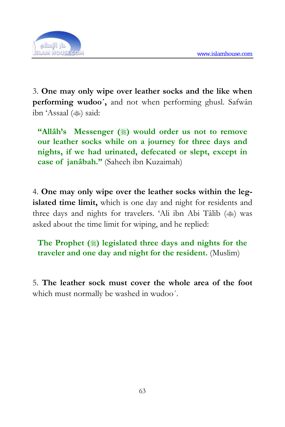

3. **One may only wipe over leather socks and the like when performing wudoo´,** and not when performing ghusl. Safwân ibn 'Assaal () said:

**"Allâh's Messenger (**) would order us not to remove **our leather socks while on a journey for three days and nights, if we had urinated, defecated or slept, except in case of janâbah."** (Saheeh ibn Kuzaimah)

4. **One may only wipe over the leather socks within the legislated time limit,** which is one day and night for residents and three days and nights for travelers. 'Ali ibn Abi Tâlib ( $\gg$ ) was asked about the time limit for wiping, and he replied:

**The Prophet () legislated three days and nights for the traveler and one day and night for the resident.** (Muslim)

5. **The leather sock must cover the whole area of the foot** which must normally be washed in wudoo´.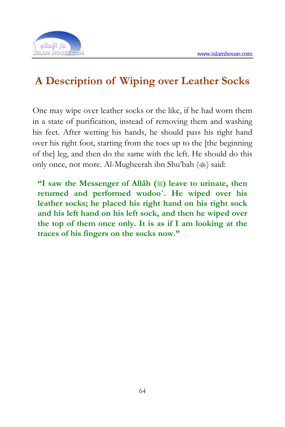

# **A Description of Wiping over Leather Socks**

One may wipe over leather socks or the like, if he had worn them in a state of purification, instead of removing them and washing his feet. After wetting his hands, he should pass his right hand over his right foot, starting from the toes up to the [the beginning of the] leg, and then do the same with the left. He should do this only once, not more. Al-Mugheerah ibn Shu'bah ( $\gg$ ) said:

**"I saw the Messenger of Allâh (** $*)$  leave to urinate, then **returned and performed wudoo´. He wiped over his leather socks; he placed his right hand on his right sock and his left hand on his left sock, and then he wiped over the top of them once only. It is as if I am looking at the traces of his fingers on the socks now."**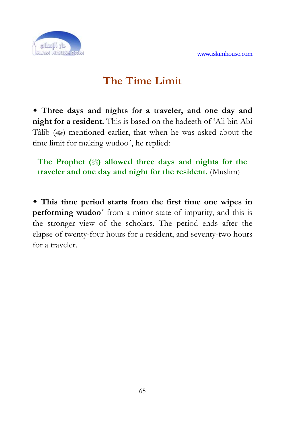

# **The Time Limit**

 **Three days and nights for a traveler, and one day and night for a resident.** This is based on the hadeeth of 'Ali bin Abi Tâlib ( $\gg$ ) mentioned earlier, that when he was asked about the time limit for making wudoo´, he replied:

**The Prophet () allowed three days and nights for the traveler and one day and night for the resident.** (Muslim)

 **This time period starts from the first time one wipes in performing wudoo´** from a minor state of impurity, and this is the stronger view of the scholars. The period ends after the elapse of twenty-four hours for a resident, and seventy-two hours for a traveler.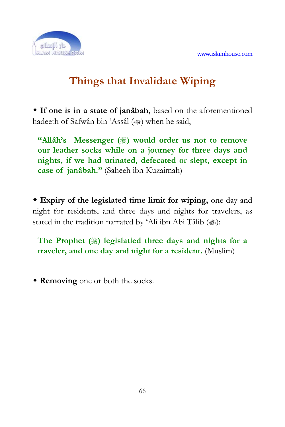

# **Things that Invalidate Wiping**

 **If one is in a state of janâbah,** based on the aforementioned hadeeth of Safwân bin 'Assâl () when he said,

**"Allâh's Messenger ()** would order us not to remove **our leather socks while on a journey for three days and nights, if we had urinated, defecated or slept, except in case of janâbah."** (Saheeh ibn Kuzaimah)

 **Expiry of the legislated time limit for wiping,** one day and night for residents, and three days and nights for travelers, as stated in the tradition narrated by 'Ali ibn Abi Tâlib ( $\gg$ ):

**The Prophet () legislatied three days and nights for a traveler, and one day and night for a resident.** (Muslim)

**Removing** one or both the socks.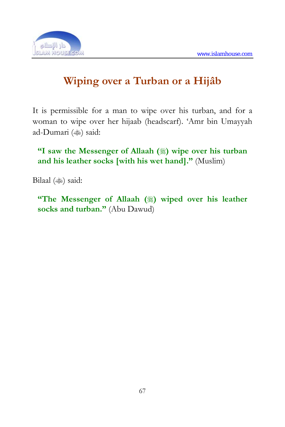

# **Wiping over a Turban or a Hijâb**

It is permissible for a man to wipe over his turban, and for a woman to wipe over her hijaab (headscarf). 'Amr bin Umayyah ad-Dumari () said:

**"I saw the Messenger of Allaah (** $\hat{\mathbf{A}}$ ) wipe over his turban **and his leather socks [with his wet hand]."** (Muslim)

Bilaal () said:

**"The Messenger of Allaah (** $*)$  wiped over his leather **socks and turban."** (Abu Dawud)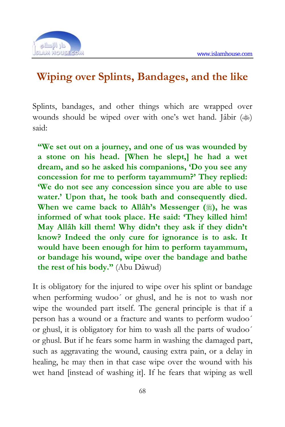

#### **Wiping over Splints, Bandages, and the like**

Splints, bandages, and other things which are wrapped over wounds should be wiped over with one's wet hand. Jâbir ( $\text{L}$ ) said:

**"We set out on a journey, and one of us was wounded by a stone on his head. [When he slept,] he had a wet dream, and so he asked his companions, 'Do you see any concession for me to perform tayammum?' They replied: 'We do not see any concession since you are able to use water.' Upon that, he took bath and consequently died. When we came back to Allâh's Messenger (), he was informed of what took place. He said: 'They killed him! May Allâh kill them! Why didn't they ask if they didn't know? Indeed the only cure for ignorance is to ask. It would have been enough for him to perform tayammum, or bandage his wound, wipe over the bandage and bathe the rest of his body."** (Abu Dâwud)

It is obligatory for the injured to wipe over his splint or bandage when performing wudoo´ or ghusl, and he is not to wash nor wipe the wounded part itself. The general principle is that if a person has a wound or a fracture and wants to perform wudoo´ or ghusl, it is obligatory for him to wash all the parts of wudoo´ or ghusl. But if he fears some harm in washing the damaged part, such as aggravating the wound, causing extra pain, or a delay in healing, he may then in that case wipe over the wound with his wet hand [instead of washing it]. If he fears that wiping as well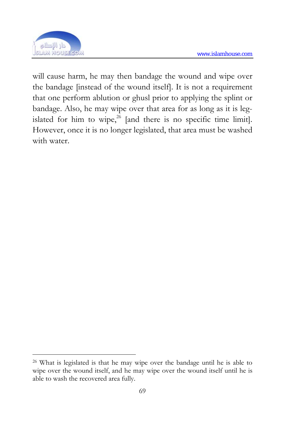

1

will cause harm, he may then bandage the wound and wipe over the bandage [instead of the wound itself]. It is not a requirement that one perform ablution or ghusl prior to applying the splint or bandage. Also, he may wipe over that area for as long as it is legislated for him to wipe, $26$  [and there is no specific time limit]. However, once it is no longer legislated, that area must be washed with water.

<sup>26</sup> What is legislated is that he may wipe over the bandage until he is able to wipe over the wound itself, and he may wipe over the wound itself until he is able to wash the recovered area fully.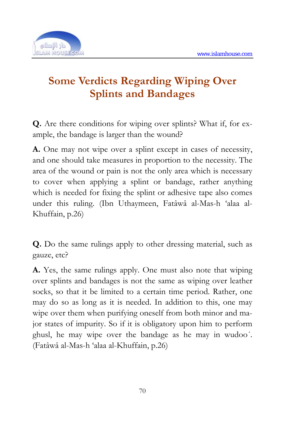

# **Some Verdicts Regarding Wiping Over Splints and Bandages**

**Q.** Are there conditions for wiping over splints? What if, for example, the bandage is larger than the wound?

**A.** One may not wipe over a splint except in cases of necessity, and one should take measures in proportion to the necessity. The area of the wound or pain is not the only area which is necessary to cover when applying a splint or bandage, rather anything which is needed for fixing the splint or adhesive tape also comes under this ruling. (Ibn Uthaymeen, Fatâwâ al-Mas-h 'alaa al-Khuffain, p.26)

**Q.** Do the same rulings apply to other dressing material, such as gauze, etc?

**A.** Yes, the same rulings apply. One must also note that wiping over splints and bandages is not the same as wiping over leather socks, so that it be limited to a certain time period. Rather, one may do so as long as it is needed. In addition to this, one may wipe over them when purifying oneself from both minor and major states of impurity. So if it is obligatory upon him to perform ghusl, he may wipe over the bandage as he may in wudoo´. (Fatâwâ al-Mas-h 'alaa al-Khuffain, p.26)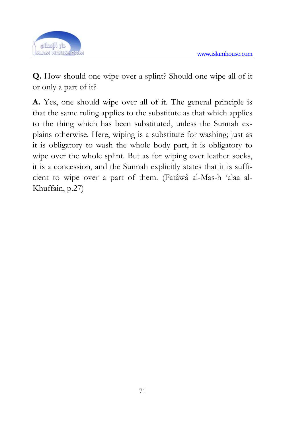

**Q.** How should one wipe over a splint? Should one wipe all of it or only a part of it?

**A.** Yes, one should wipe over all of it. The general principle is that the same ruling applies to the substitute as that which applies to the thing which has been substituted, unless the Sunnah explains otherwise. Here, wiping is a substitute for washing; just as it is obligatory to wash the whole body part, it is obligatory to wipe over the whole splint. But as for wiping over leather socks, it is a concession, and the Sunnah explicitly states that it is sufficient to wipe over a part of them. (Fatâwâ al-Mas-h 'alaa al-Khuffain, p.27)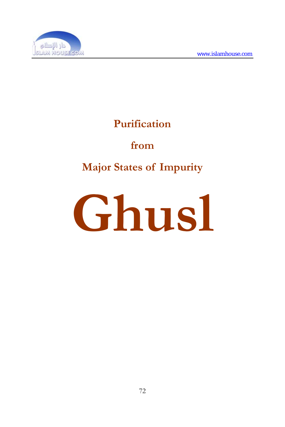

# **Purification**

#### **from**

# **Major States of Impurity**

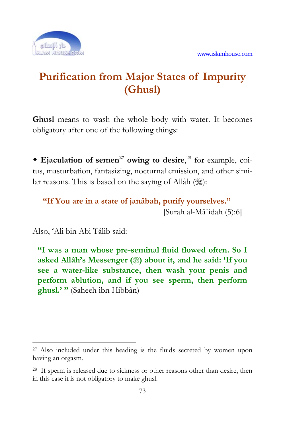

# **Purification from Major States of Impurity (Ghusl)**

**Ghusl** means to wash the whole body with water. It becomes obligatory after one of the following things:

**Ejaculation of semen<sup>27</sup> owing to desire,**<sup>28</sup> for example, coitus, masturbation, fantasizing, nocturnal emission, and other similar reasons. This is based on the saying of Allâh  $(\frac{125}{3})$ :

```
"If You are in a state of janâbah, purify yourselves." 
                        [Surah al-Mâ`idah (5):6]
```
Also, 'Ali bin Abi Tâlib said:

<u>.</u>

**"I was a man whose pre-seminal fluid flowed often. So I asked Allâh's Messenger () about it, and he said: 'If you see a water-like substance, then wash your penis and perform ablution, and if you see sperm, then perform ghusl.' "** (Saheeh ibn Hibbân)

<sup>27</sup> Also included under this heading is the fluids secreted by women upon having an orgasm.

<sup>28</sup> If sperm is released due to sickness or other reasons other than desire, then in this case it is not obligatory to make ghusl.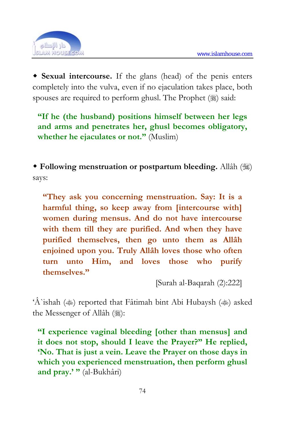

 **Sexual intercourse.** If the glans (head) of the penis enters completely into the vulva, even if no ejaculation takes place, both spouses are required to perform ghusl. The Prophet  $(\frac{1}{2})$  said:

**"If he (the husband) positions himself between her legs and arms and penetrates her, ghusl becomes obligatory, whether he ejaculates or not."** (Muslim)

 **Following menstruation or postpartum bleeding.** Allâh () says:

**"They ask you concerning menstruation. Say: It is a harmful thing, so keep away from [intercourse with] women during mensus. And do not have intercourse with them till they are purified. And when they have purified themselves, then go unto them as Allâh enjoined upon you. Truly Allâh loves those who often turn unto Him, and loves those who purify themselves."** 

[Surah al-Baqarah (2):222]

'Â`ishah ( $\ast$ ) reported that Fâtimah bint Abi Hubaysh ( $\ast$ ) asked the Messenger of Allâh (ﷺ):

**"I experience vaginal bleeding [other than mensus] and it does not stop, should I leave the Prayer?" He replied, 'No. That is just a vein. Leave the Prayer on those days in which you experienced menstruation, then perform ghusl and pray.' "** (al-Bukhâri)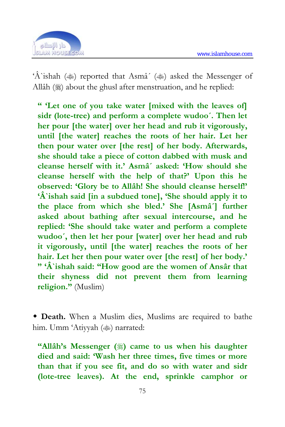

'Â`ishah ( $\ast$ ) reported that Asmâ' ( $\ast$ ) asked the Messenger of Allâh () about the ghusl after menstruation, and he replied:

**" 'Let one of you take water [mixed with the leaves of] sidr (lote-tree) and perform a complete wudoo´. Then let her pour [the water] over her head and rub it vigorously, until [the water] reaches the roots of her hair. Let her then pour water over [the rest] of her body. Afterwards, she should take a piece of cotton dabbed with musk and cleanse herself with it.' Asmâ´ asked: 'How should she cleanse herself with the help of that?' Upon this he observed: 'Glory be to Allâh! She should cleanse herself!' 'Â`ishah said [in a subdued tone], 'She should apply it to the place from which she bled.' She [Asmâ´] further asked about bathing after sexual intercourse, and he replied: 'She should take water and perform a complete wudoo´, then let her pour [water] over her head and rub it vigorously, until [the water] reaches the roots of her hair. Let her then pour water over [the rest] of her body.' " 'Â`ishah said: "How good are the women of Ansâr that their shyness did not prevent them from learning religion."** (Muslim)

 **Death.** When a Muslim dies, Muslims are required to bathe him. Umm 'Atiyyah () narrated:

**"Allâh's Messenger (#) came to us when his daughter died and said: 'Wash her three times, five times or more than that if you see fit, and do so with water and sidr (lote-tree leaves). At the end, sprinkle camphor or**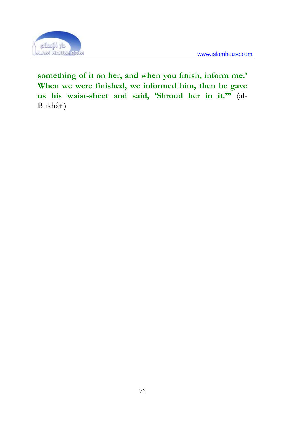

**something of it on her, and when you finish, inform me.' When we were finished, we informed him, then he gave us his waist-sheet and said, 'Shroud her in it.'"** (al-Bukhâri)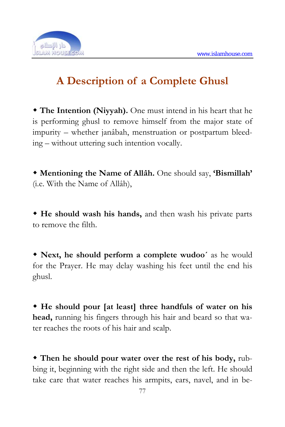

# **A Description of a Complete Ghusl**

 **The Intention (Niyyah).** One must intend in his heart that he is performing ghusl to remove himself from the major state of impurity – whether janâbah, menstruation or postpartum bleeding – without uttering such intention vocally.

 **Mentioning the Name of Allâh.** One should say, **'Bismillah'** (i.e. With the Name of Allâh),

 **He should wash his hands,** and then wash his private parts to remove the filth.

 **Next, he should perform a complete wudoo´** as he would for the Prayer. He may delay washing his feet until the end his ghusl.

 **He should pour [at least] three handfuls of water on his head,** running his fingers through his hair and beard so that water reaches the roots of his hair and scalp.

 **Then he should pour water over the rest of his body,** rubbing it, beginning with the right side and then the left. He should take care that water reaches his armpits, ears, navel, and in be-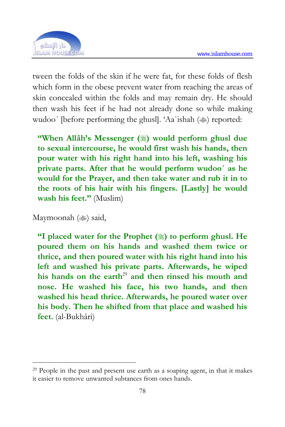

tween the folds of the skin if he were fat, for these folds of flesh which form in the obese prevent water from reaching the areas of skin concealed within the folds and may remain dry. He should then wash his feet if he had not already done so while making wudoo' [before performing the ghusl]. 'Aa'ishah ( $\gg$ ) reported:

**"When Allah's Messenger (3) would perfo[rm](#page-74-0) ghusl due to sexual intercourse, he would first wash his hands, then pour water with his right hand into his left, washing his private parts. After that he would perform wudoo´ as he would for the Prayer, and then take water and rub it in to the roots of his hair with his fingers. [Lastly] he would wash his feet."** (Muslim)

Maymoonah ( $\gg$ ) said,

1

**"I placed water for the Prophet (** $\ddot{\text{m}}$ **) to perform ghusl. He poured them on his hands and washed them twice or thrice, and then poured water with his right hand into his left and washed his private parts. Afterwards, he wiped**  his hands on the earth<sup>29</sup> and then rinsed his mouth and **nose. He washed his face, his two hands, and then washed his head thrice. Afterwards, he poured water over his body. Then he shifted from that place and washed his feet.** (al-Bukhâri)

<span id="page-74-0"></span><sup>29</sup> People in the past and present use earth as a soaping agent, in that it makes it easier to remove unwanted subtances from ones hands.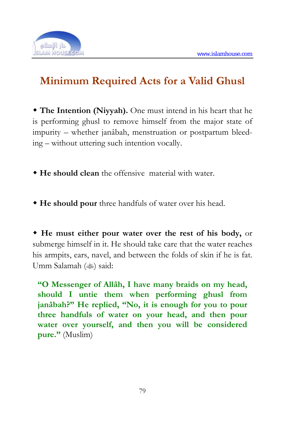

# **Minimum Required Acts for a Valid Ghusl**

 **The Intention (Niyyah).** One must intend in his heart that he is performing ghusl to remove himself from the major state of impurity – whether janâbah, menstruation or postpartum bleeding – without uttering such intention vocally.

- **He should clean** the offensive material with water.
- **He should pour** three handfuls of water over his head.

 **He must either pour water over the rest of his body,** or submerge himself in it. He should take care that the water reaches his armpits, ears, navel, and between the folds of skin if he is fat. Umm Salamah (<a>said:

**"O Messenger of Allâh, I have many braids on my head, should I untie them when performing ghusl from janâbah?" He replied, "No, it is enough for you to pour three handfuls of water on your head, and then pour water over yourself, and then you will be considered pure."** (Muslim)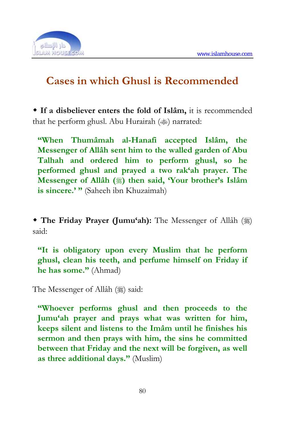

# **Cases in which Ghusl is Recommended**

 **If a disbeliever enters the fold of Islâm,** it is recommended that he perform ghusl. Abu Hurairah ( $\gg$ ) narrated:

**"When Thumâmah al-Hanafi accepted Islâm, the Messenger of Allâh sent him to the walled garden of Abu Talhah and ordered him to perform ghusl, so he performed ghusl and prayed a two rak'ah prayer. The Messenger of Allâh ()** then said, 'Your brother's Islâm **is sincere.' "** (Saheeh ibn Khuzaimah)

**The Friday Prayer (Jumu'ah):** The Messenger of Allâh (\$) said:

**"It is obligatory upon every Muslim that he perform ghusl, clean his teeth, and perfume himself on Friday if he has some."** (Ahmad)

The Messenger of Allâh (3) said:

**"Whoever performs ghusl and then proceeds to the Jumu'ah prayer and prays what was written for him, keeps silent and listens to the Imâm until he finishes his sermon and then prays with him, the sins he committed between that Friday and the next will be forgiven, as well as three additional days."** (Muslim)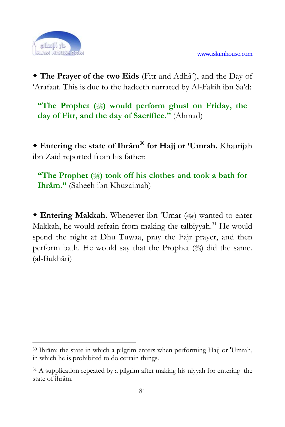

<u>.</u>

 **The Prayer of the two Eids** (Fitr and Adhâ´), and the Day of 'Arafaat. This is due to the hadeeth narrated by Al-Fakih ibn Sa'd:

**"The Prophet (** $\ddot{\textbf{\text{}}}$ ) would perform ghusl on Friday, the **day of Fitr, and the day of Sacrifice."** (Ahmad)

 **Entering the state of Ihrâm30 for Hajj or 'Umrah.** Khaarijah ibn Zaid reported from his father:

**"The Prophet (** $\ddot{\textbf{a}}$ ) took off his clothes and took a bath for **Ihrâm."** (Saheeh ibn Khuzaimah)

• Entering Makkah. Whenever ibn 'Umar ( $\gg$ ) wanted to enter Makkah, he would refrain from making the talbiyyah.<sup>31</sup> He would spend the night at Dhu Tuwaa, pray the Fajr prayer, and then perform bath. He would say that the Prophet  $(\frac{1}{2})$  did the same. (al-Bukhâri)

<sup>30</sup> Ihrâm: the state in which a pilgrim enters when performing Hajj or 'Umrah, in which he is prohibited to do certain things.

<sup>&</sup>lt;sup>31</sup> A supplication repeated by a pilgrim after making his niyyah for entering the state of ihrâm.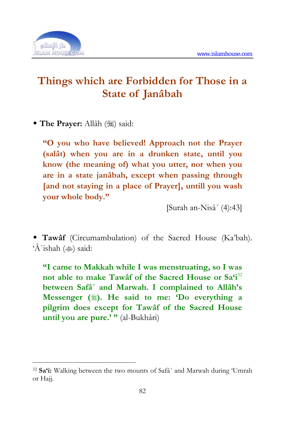

1

# **Things which are Forbidden for Those in a State of Janâbah**

**The Prayer:** Allâh (1) said:

**"O you who have believed! Approach not the Prayer (salât) when you are in a drunken state, until you know (the meaning of) what you utter, nor when you are in a state janâbah, except when passing through [and not staying in a place of Prayer], untill you wash your whole body."** 

[Surah an-Nisâ´ (4):43]

 **Tawâf** (Circumambulation) of the Sacred House (Ka'bah). ' $\hat{A}$ 'ishah ( $\hat{\ast}$ ) said:

**"I came to Makkah while I was menstruating, so I was not able to make Tawâf of the Sacred House or Sa'i**<sup>32</sup> **between Safâ´ and Marwah. I complained to Allâh's Messenger (). He said to me: 'Do everything a pilgrim does except for Tawâf of the Sacred House until you are pure.' "** (al-Bukhâri)

<sup>32</sup> **Sa'i:** Walking between the two mounts of Safâ´ and Marwah during 'Umrah or Hajj.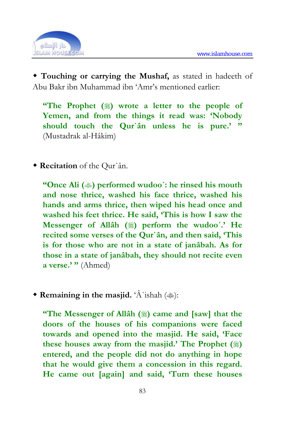

 **Touching or carrying the Mushaf,** as stated in hadeeth of Abu Bakr ibn Muhammad ibn 'Amr's mentioned earlier:

**"The Prophet () wrote a letter to the people of Yemen, and from the things it read was: 'Nobody should touch the Qur`ân unless he is pure.' "** (Mustadrak al-Hâkim)

**Recitation** of the Qur`ân.

**"Once Ali () performed wudoo´: he rinsed his mouth and nose thrice, washed his face thrice, washed his hands and arms thrice, then wiped his head once and washed his feet thrice. He said, 'This is how I saw the Messenger of Allâh (
<b>)** perform the wudoo'.' He **recited some verses of the Qur`ân, and then said, 'This is for those who are not in a state of janâbah. As for those in a state of janâbah, they should not recite even a verse.' "** (Ahmed)

**• Remaining in the masjid.** ' $\hat{A}$ 'ishah ( $\gg$ ):

**"The Messenger of Allâh (** $*)$  came and [saw] that the **doors of the houses of his companions were faced towards and opened into the masjid. He said, 'Face**  these houses away from the masjid.' The Prophet  $(\frac{16}{20})$ **entered, and the people did not do anything in hope that he would give them a concession in this regard. He came out [again] and said, 'Turn these houses**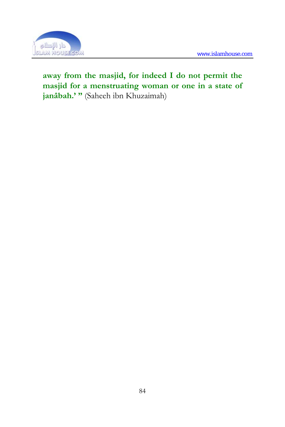

## **away from the masjid, for indeed I do not permit the masjid for a menstruating woman or one in a state of janâbah.' "** (Saheeh ibn Khuzaimah)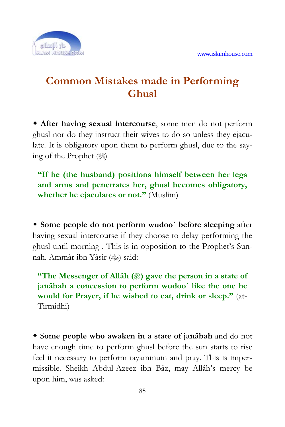

# **Common Mistakes made in Performing Ghusl**

 **After having sexual intercourse**, some men do not perform ghusl nor do they instruct their wives to do so unless they ejaculate. It is obligatory upon them to perform ghusl, due to the saying of the Prophet (:)

**"If he (the husband) positions himself between her legs and arms and penetrates her, ghusl becomes obligatory, whether he ejaculates or not."** (Muslim)

 **Some people do not perform wudoo´ before sleeping** after having sexual intercourse if they choose to delay performing the ghusl until morning . This is in opposition to the Prophet's Sunnah. Ammâr ibn Yâsir ( $\ddot{\ast}$ ) said:

**"The Messenger of Allâh (3) gave the person in a state of janâbah a concession to perform wudoo´ like the one he would for Prayer, if he wished to eat, drink or sleep."** (at-Tirmidhi)

 S**ome people who awaken in a state of janâbah** and do not have enough time to perform ghusl before the sun starts to rise feel it necessary to perform tayammum and pray. This is impermissible. Sheikh Abdul-Azeez ibn Bâz, may Allâh's mercy be upon him, was asked: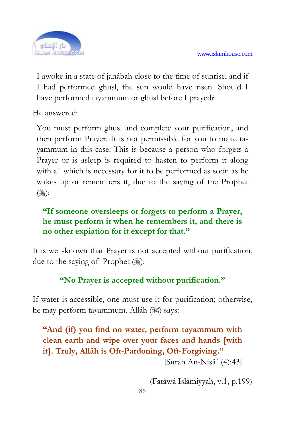

I awoke in a state of janâbah close to the time of sunrise, and if I had performed ghusl, the sun would have risen. Should I have performed tayammum or ghusl before I prayed?

He answered:

You must perform ghusl and complete your purification, and then perform Prayer. It is not permissible for you to make tayammum in this case. This is because a person who forgets a Prayer or is asleep is required to hasten to perform it along with all which is necessary for it to be performed as soon as he wakes up or remembers it, due to the saying of the Prophet ( ,

## **"If someone oversleeps or forgets to perform a Prayer, he must perform it when he remembers it, and there is no other expiation for it except for that."**

It is well-known that Prayer is not accepted without purification, due to the saying of Prophet  $(\frac{1}{2})$ :

## **"No Prayer is accepted without purification."**

If water is accessible, one must use it for purification; otherwise, he may perform tayammum. Allâh ( $\frac{1}{2}$ ) says:

**"And (if) you find no water, perform tayammum with clean earth and wipe over your faces and hands [with it]. Truly, Allâh is Oft-Pardoning, Oft-Forgiving."** 

[Surah An-Nisâ` (4):43]

(Fatâwâ Islâmiyyah, v.1, p.199)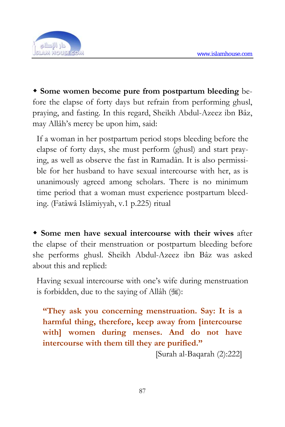

 **Some women become pure from postpartum bleeding** before the elapse of forty days but refrain from performing ghusl, praying, and fasting. In this regard, Sheikh Abdul-Azeez ibn Bâz, may Allâh's mercy be upon him, said:

If a woman in her postpartum period stops bleeding before the elapse of forty days, she must perform (ghusl) and start praying, as well as observe the fast in Ramadân. It is also permissible for her husband to have sexual intercourse with her, as is unanimously agreed among scholars. There is no minimum time period that a woman must experience postpartum bleeding. (Fatâwâ Islâmiyyah, v.1 p.225) ritual

 **Some men have sexual intercourse with their wives** after the elapse of their menstruation or postpartum bleeding before she performs ghusl. Sheikh Abdul-Azeez ibn Bâz was asked about this and replied:

Having sexual intercourse with one's wife during menstruation is forbidden, due to the saying of Allâh ():

**"They ask you concerning menstruation. Say: It is a harmful thing, therefore, keep away from [intercourse with] women during menses. And do not have intercourse with them till they are purified."** 

[Surah al-Baqarah (2):222]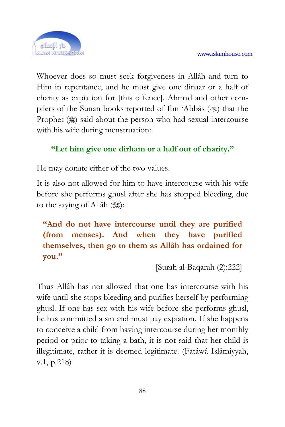

Whoever does so must seek forgiveness in Allâh and turn to Him in repentance, and he must give one dinaar or a half of charity as expiation for [this offence]. Ahmad and other compilers of the Sunan books reported of Ibn 'Abbâs ( $\gg$ ) that the Prophet (3) said about the person who had sexual intercourse with his wife during menstruation:

## **"Let him give one dirham or a half out of charity."**

He may donate either of the two values.

It is also not allowed for him to have intercourse with his wife before she performs ghusl after she has stopped bleeding, due to the saying of Allâh (3):

**"And do not have intercourse until they are purified (from menses). And when they have purified themselves, then go to them as Allâh has ordained for you."** 

[Surah al-Baqarah (2):222]

Thus Allâh has not allowed that one has intercourse with his wife until she stops bleeding and purifies herself by performing ghusl. If one has sex with his wife before she performs ghusl, he has committed a sin and must pay expiation. If she happens to conceive a child from having intercourse during her monthly period or prior to taking a bath, it is not said that her child is illegitimate, rather it is deemed legitimate. (Fatâwâ Islâmiyyah, v.1, p.218)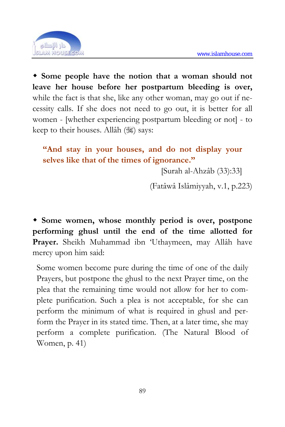

 **Some people have the notion that a woman should not leave her house before her postpartum bleeding is over,** while the fact is that she, like any other woman, may go out if necessity calls. If she does not need to go out, it is better for all women - [whether experiencing postpartum bleeding or not] - to keep to their houses. Allâh ( $\ddot{\mathcal{W}}$ ) says:

**"And stay in your houses, and do not display your selves like that of the times of ignorance."** 

[Surah al-Ahzâb (33):33]

(Fatâwâ Islâmiyyah, v.1, p.223)

 **Some women, whose monthly period is over, postpone performing ghusl until the end of the time allotted for Prayer.** Sheikh Muhammad ibn 'Uthaymeen, may Allâh have mercy upon him said:

Some women become pure during the time of one of the daily Prayers, but postpone the ghusl to the next Prayer time, on the plea that the remaining time would not allow for her to complete purification. Such a plea is not acceptable, for she can perform the minimum of what is required in ghusl and perform the Prayer in its stated time. Then, at a later time, she may perform a complete purification. (The Natural Blood of Women, p. 41)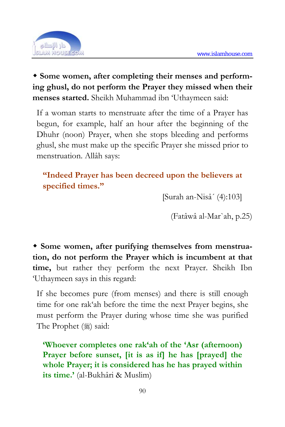

 **Some women, after completing their menses and performing ghusl, do not perform the Prayer they missed when their menses started.** Sheikh Muhammad ibn 'Uthaymeen said:

If a woman starts to menstruate after the time of a Prayer has begun, for example, half an hour after the beginning of the Dhuhr (noon) Prayer, when she stops bleeding and performs ghusl, she must make up the specific Prayer she missed prior to menstruation. Allâh says:

## **"Indeed Prayer has been decreed upon the believers at specified times."**

[Surah an-Nisâ´ (4):103]

(Fatâwâ al-Mar`ah, p.25)

 **Some women, after purifying themselves from menstruation, do not perform the Prayer which is incumbent at that time,** but rather they perform the next Prayer. Sheikh Ibn 'Uthaymeen says in this regard:

If she becomes pure (from menses) and there is still enough time for one rak'ah before the time the next Prayer begins, she must perform the Prayer during whose time she was purified The Prophet (,) said:

**'Whoever completes one rak'ah of the 'Asr (afternoon) Prayer before sunset, [it is as if] he has [prayed] the whole Prayer; it is considered has he has prayed within its time.'** (al-Bukhâri & Muslim)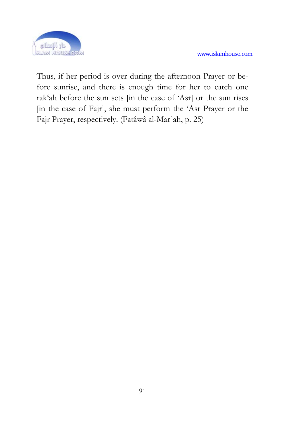

Thus, if her period is over during the afternoon Prayer or before sunrise, and there is enough time for her to catch one rak'ah before the sun sets [in the case of 'Asr] or the sun rises [in the case of Fajr], she must perform the 'Asr Prayer or the Fajr Prayer, respectively. (Fatâwâ al-Mar`ah, p. 25)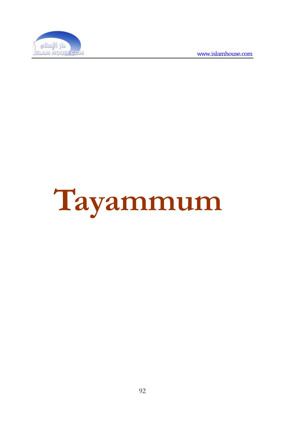

# **Tayammum**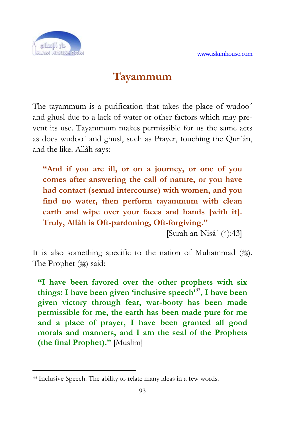

1

## **Tayammum**

The tayammum is a purification that takes the place of wudoo´ and ghusl due to a lack of water or other factors which may prevent its use. Tayammum makes permissible for us the same acts as does wudoo´ and ghusl, such as Prayer, touching the Qur`ân, and the like. Allâh says:

**"And if you are ill, or on a journey, or one of you comes after answering the call of nature, or you have had contact (sexual intercourse) with women, and you find no water, then perform tayammum with clean earth and wipe over your faces and hands [with it]. Truly, Allâh is Oft-pardoning, Oft-forgiving."** 

[Surah an-Nisâ´ (4):43]

It is also something specific to the nation of Muhammad  $(\frac{16}{36})$ . The Prophet (,) said:

**"I have been favored over the other prophets with six things: I have been given 'inclusive speech'**<sup>33</sup>**, I have been given victory through fear, war-booty has been made permissible for me, the earth has been made pure for me and a place of prayer, I have been granted all good morals and manners, and I am the seal of the Prophets (the final Prophet)."** [Muslim]

<sup>33</sup> Inclusive Speech: The ability to relate many ideas in a few words.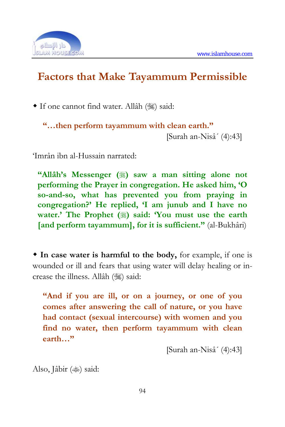

## **Factors that Make Tayammum Permissible**

• If one cannot find water. Allâh (%) said:

**"…then perform tayammum with clean earth."**  [Surah an-Nisâ´ (4):43]

'Imrân ibn al-Hussain narrated:

**"Allâh's Messenger (**) saw a man sitting alone not **performing the Prayer in congregation. He asked him, 'O so-and-so, what has prevented you from praying in congregation?' He replied, 'I am junub and I have no water.'** The Prophet (§) said: You must use the earth **[and perform tayammum], for it is sufficient."** (al-Bukhâri)

 **In case water is harmful to the body,** for example, if one is wounded or ill and fears that using water will delay healing or increase the illness. Allâh () said:

**"And if you are ill, or on a journey, or one of you comes after answering the call of nature, or you have had contact (sexual intercourse) with women and you find no water, then perform tayammum with clean earth…"** 

[Surah an-Nisâ´ (4):43]

Also, Jâbir ( $\gg$ ) said: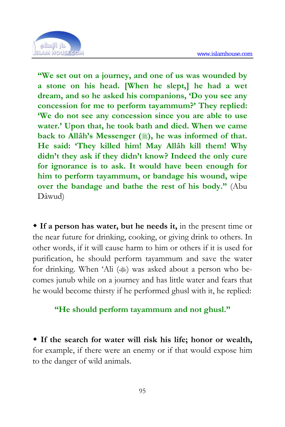

**"We set out on a journey, and one of us was wounded by a stone on his head. [When he slept,] he had a wet dream, and so he asked his companions, 'Do you see any concession for me to perform tayammum?' They replied: 'We do not see any concession since you are able to use water.' Upon that, he took bath and died. When we came back to Allâh's Messenger (), he was informed of that. He said: 'They killed him! May Allâh kill them! Why didn't they ask if they didn't know? Indeed the only cure for ignorance is to ask. It would have been enough for him to perform tayammum, or bandage his wound, wipe over the bandage and bathe the rest of his body."** (Abu Dâwud)

 **If a person has water, but he needs it,** in the present time or the near future for drinking, cooking, or giving drink to others. In other words, if it will cause harm to him or others if it is used for purification, he should perform tayammum and save the water for drinking. When 'Ali ( $\gg$ ) was asked about a person who becomes junub while on a journey and has little water and fears that he would become thirsty if he performed ghusl with it, he replied:

#### **"He should perform tayammum and not ghusl."**

 **If the search for water will risk his life; honor or wealth,** for example, if there were an enemy or if that would expose him to the danger of wild animals.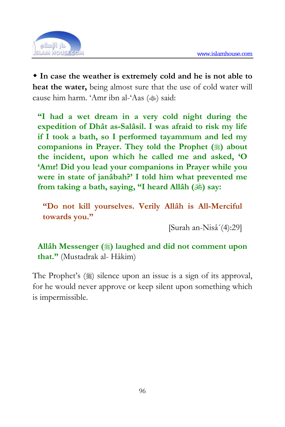

 **In case the weather is extremely cold and he is not able to heat the water,** being almost sure that the use of cold water will cause him harm. 'Amr ibn al-'Aas (<a></a>)</a> said:

**"I had a wet dream in a very cold night during the expedition of Dhât as-Salâsil. I was afraid to risk my life if I took a bath, so I performed tayammum and led my companions in Prayer. They told the Prophet () about the incident, upon which he called me and asked, 'O 'Amr! Did you lead your companions in Prayer while you were in state of janâbah?' I told him what prevented me**  from taking a bath, saying, "I heard Allâh ( $\circledast$ ) say:

**"Do not kill yourselves. Verily Allâh is All-Merciful towards you."** 

[Surah an-Nisâ´(4):29]

**Allâh Messenger () laughed and did not comment upon that."** (Mustadrak al- Hâkim)

The Prophet's ( $\frac{1}{2}$ ) silence upon an issue is a sign of its approval, for he would never approve or keep silent upon something which is impermissible.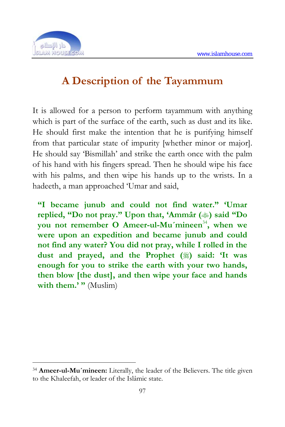

1

# **A Description of the Tayammum**

It is allowed for a person to perform tayammum with anything which is part of the surface of the earth, such as dust and its like. He should first make the intention that he is purifying himself from that particular state of impurity [whether minor or major]. He should say 'Bismillah' and strike the earth once with the palm of his hand with his fingers spread. Then he should wipe his face with his palms, and then wipe his hands up to the wrists. In a hadeeth, a man approached 'Umar and said,

**"I became junub and could not find water." 'Umar**  replied, "Do not pray." Upon that, 'Ammâr ( $\gg$ ) said "Do **you not remember O Ameer-ul-Mu´mineen**<sup>34</sup>**, when we were upon an expedition and became junub and could not find any water? You did not pray, while I rolled in the**  dust and prayed, and the Prophet ( $\frac{1}{20}$ ) said: 'It was **enough for you to strike the earth with your two hands, then blow [the dust], and then wipe your face and hands**  with them.' " (Muslim)

<sup>34</sup> **Ameer-ul-Mu´mineen:** Literally, the leader of the Believers. The title given to the Khaleefah, or leader of the Islâmic state.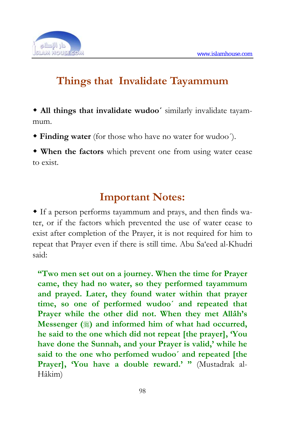

# **Things that Invalidate Tayammum**

 **All things that invalidate wudoo´** similarly invalidate tayammum.

**Finding water** (for those who have no water for wudoo´).

 **When the factors** which prevent one from using water cease to exist.

## **Important Notes:**

 If a person performs tayammum and prays, and then finds water, or if the factors which prevented the use of water cease to exist after completion of the Prayer, it is not required for him to repeat that Prayer even if there is still time. Abu Sa'eed al-Khudri said:

**"Two men set out on a journey. When the time for Prayer came, they had no water, so they performed tayammum and prayed. Later, they found water within that prayer time, so one of performed wudoo´ and repeated that Prayer while the other did not. When they met Allâh's Messenger (** $\ddot{\text{}}$ ) and informed him of what had occurred, **he said to the one which did not repeat [the prayer], 'You have done the Sunnah, and your Prayer is valid,' while he said to the one who perfomed wudoo´ and repeated [the**  Prayer], 'You have a double reward.' " (Mustadrak al-Hâkim)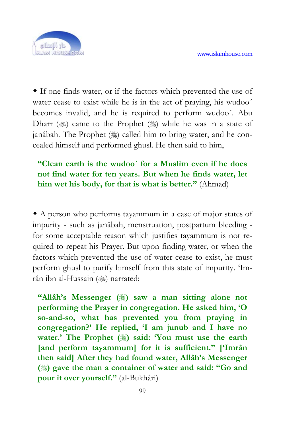

 If one finds water, or if the factors which prevented the use of water cease to exist while he is in the act of praying, his wudoo' becomes invalid, and he is required to perform wudoo´. Abu Dharr ( $\gg$ ) came to the Prophet ( $\gg$ ) while he was in a state of janâbah. The Prophet () called him to bring water, and he concealed himself and performed ghusl. He then said to him,

## **"Clean earth is the wudoo´ for a Muslim even if he does not find water for ten years. But when he finds water, let him wet his body, for that is what is better."** (Ahmad)

 A person who performs tayammum in a case of major states of impurity - such as janâbah, menstruation, postpartum bleeding for some acceptable reason which justifies tayammum is not required to repeat his Prayer. But upon finding water, or when the factors which prevented the use of water cease to exist, he must perform ghusl to purify himself from this state of impurity. 'Imrân ibn al-Hussain (<a>
(<a>  $\blacksquare$ )<br/>
narrated:

**"Allâh's Messenger (**) saw a man sitting alone not **performing the Prayer in congregation. He asked him, 'O so-and-so, what has prevented you from praying in congregation?' He replied, 'I am junub and I have no water.'** The Prophet (3) said: 'You must use the earth **[and perform tayammum] for it is sufficient." ['Imrân then said] After they had found water, Allâh's Messenger () gave the man a container of water and said: "Go and pour it over yourself."** (al-Bukhâri)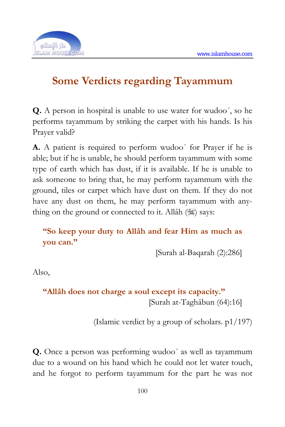

# **Some Verdicts regarding Tayammum**

**Q.** A person in hospital is unable to use water for wudoo´, so he performs tayammum by striking the carpet with his hands. Is his Prayer valid?

**A.** A patient is required to perform wudoo´ for Prayer if he is able; but if he is unable, he should perform tayammum with some type of earth which has dust, if it is available. If he is unable to ask someone to bring that, he may perform tayammum with the ground, tiles or carpet which have dust on them. If they do not have any dust on them, he may perform tayammum with anything on the ground or connected to it. Allâh  $(\mathcal{H})$  says:

## **"So keep your duty to Allâh and fear Him as much as you can."**

[Surah al-Baqarah (2):286]

Also,

## **"Allâh does not charge a soul except its capacity."**  [Surah at-Taghâbun (64):16]

(Islamic verdict by a group of scholars. p1/197)

**Q.** Once a person was performing wudoo´ as well as tayammum due to a wound on his hand which he could not let water touch, and he forgot to perform tayammum for the part he was not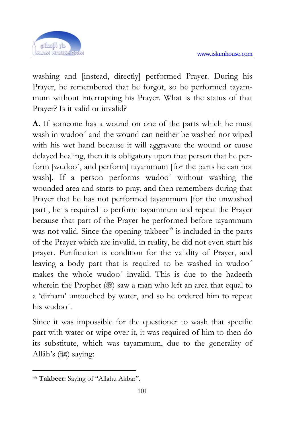

washing and [instead, directly] performed Prayer. During his Prayer, he remembered that he forgot, so he performed taya[m](#page-97-0)mum without interrupting his Prayer. What is the status of that Prayer? Is it valid or invalid?

**A.** If someone has a wound on one of the parts which he must wash in wudoo´ and the wound can neither be washed nor wiped with his wet hand because it will aggravate the wound or cause delayed healing, then it is obligatory upon that person that he perform [wudoo´, and perform] tayammum [for the parts he can not wash]. If a person performs wudoo´ without washing the wounded area and starts to pray, and then remembers during that Prayer that he has not performed tayammum [for the unwashed part], he is required to perform tayammum and repeat the Prayer because that part of the Prayer he performed before tayammum was not valid. Since the opening takbeer $35$  is included in the parts of the Prayer which are invalid, in reality, he did not even start his prayer. Purification is condition for the validity of Prayer, and leaving a body part that is required to be washed in wudoo´ makes the whole wudoo´ invalid. This is due to the hadeeth wherein the Prophet  $(\frac{1}{2})$  saw a man who left an area that equal to a 'dirham' untouched by water, and so he ordered him to repeat his wudoo´.

Since it was impossible for the questioner to wash that specific part with water or wipe over it, it was required of him to then do its substitute, which was tayammum, due to the generality of Allâh's (35) saying:

<span id="page-97-0"></span><sup>1</sup> <sup>35</sup> **Takbeer:** Saying of "Allahu Akbar".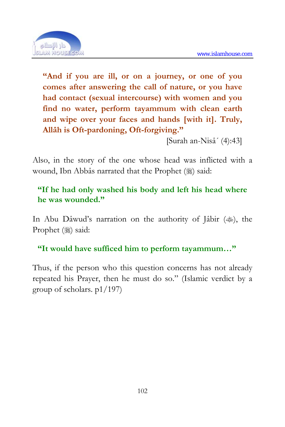

**"And if you are ill, or on a journey, or one of you comes after answering the call of nature, or you have had contact (sexual intercourse) with women and you find no water, perform tayammum with clean earth and wipe over your faces and hands [with it]. Truly, Allâh is Oft-pardoning, Oft-forgiving."** 

[Surah an-Nisâ´ (4):43]

Also, in the story of the one whose head was inflicted with a wound, Ibn Abbâs narrated that the Prophet ( $\frac{1}{20}$ ) said:

### **"If he had only washed his body and left his head where he was wounded."**

In Abu Dâwud's narration on the authority of Jâbir  $(\text{)}$ , the Prophet (2) said:

**"It would have sufficed him to perform tayammum…"** 

Thus, if the person who this question concerns has not already repeated his Prayer, then he must do so." (Islamic verdict by a group of scholars. p1/197)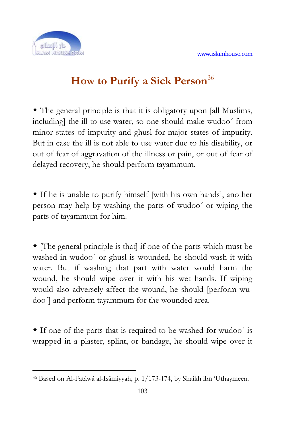

# **How to Purify a Sick Person**<sup>36</sup>

 The general principle is that it is obligatory upon [all Muslims, including] the ill to use water, so one should make wudoo´ from minor states of impurity and ghusl for major states of impurity. But in case the ill is not able to use water due to his disability, or out of fear of aggravation of the illness or pain, or out of fear of delayed recovery, he should perform tayammum.

 If he is unable to purify himself [with his own hands], another person may help by washing the parts of wudoo´ or wiping the parts of tayammum for him.

 [The general principle is that] if one of the parts which must be washed in wudoo´ or ghusl is wounded, he should wash it with water. But if washing that part with water would harm the wound, he should wipe over it with his wet hands. If wiping would also adversely affect the wound, he should [perform wudoo´] and perform tayammum for the wounded area.

 If one of the parts that is required to be washed for wudoo´ is wrapped in a plaster, splint, or bandage, he should wipe over it

<sup>1</sup> 36 Based on Al-Fatâwâ al-Isâmiyyah, p. 1/173-174, by Shaikh ibn 'Uthaymeen.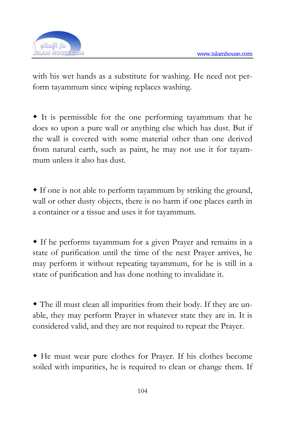

with his wet hands as a substitute for washing. He need not perform tayammum since wiping replaces washing.

 It is permissible for the one performing tayammum that he does so upon a pure wall or anything else which has dust. But if the wall is covered with some material other than one derived from natural earth, such as paint, he may not use it for tayammum unless it also has dust.

 If one is not able to perform tayammum by striking the ground, wall or other dusty objects, there is no harm if one places earth in a container or a tissue and uses it for tayammum.

 If he performs tayammum for a given Prayer and remains in a state of purification until the time of the next Prayer arrives, he may perform it without repeating tayammum, for he is still in a state of purification and has done nothing to invalidate it.

 The ill must clean all impurities from their body. If they are unable, they may perform Prayer in whatever state they are in. It is considered valid, and they are not required to repeat the Prayer.

 He must wear pure clothes for Prayer. If his clothes become soiled with impurities, he is required to clean or change them. If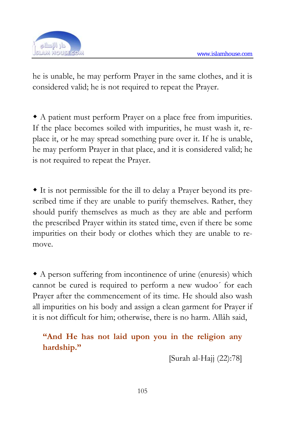

he is unable, he may perform Prayer in the same clothes, and it is considered valid; he is not required to repeat the Prayer.

 A patient must perform Prayer on a place free from impurities. If the place becomes soiled with impurities, he must wash it, replace it, or he may spread something pure over it. If he is unable, he may perform Prayer in that place, and it is considered valid; he is not required to repeat the Prayer.

 It is not permissible for the ill to delay a Prayer beyond its prescribed time if they are unable to purify themselves. Rather, they should purify themselves as much as they are able and perform the prescribed Prayer within its stated time, even if there be some impurities on their body or clothes which they are unable to remove.

 A person suffering from incontinence of urine (enuresis) which cannot be cured is required to perform a new wudoo´ for each Prayer after the commencement of its time. He should also wash all impurities on his body and assign a clean garment for Prayer if it is not difficult for him; otherwise, there is no harm. Allâh said,

**"And He has not laid upon you in the religion any hardship."** 

[Surah al-Hajj (22):78]